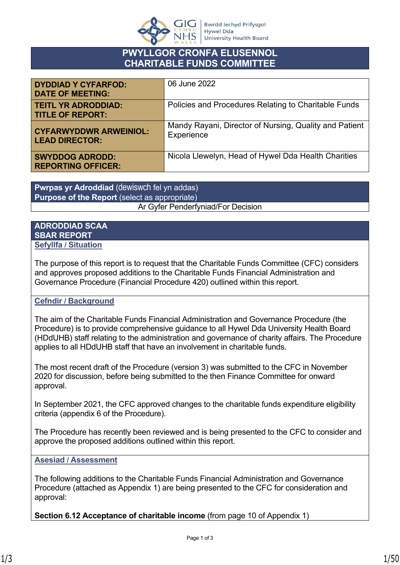

## **PWYLLGOR CRONFA ELUSENNOL CHARITABLE FUNDS COMMITTEE**

| <b>DYDDIAD Y CYFARFOD:</b><br><b>DATE OF MEETING:</b>  | 06 June 2022                                                         |
|--------------------------------------------------------|----------------------------------------------------------------------|
| <b>TEITL YR ADRODDIAD:</b><br><b>TITLE OF REPORT:</b>  | Policies and Procedures Relating to Charitable Funds                 |
| <b>CYFARWYDDWR ARWEINIOL:</b><br><b>LEAD DIRECTOR:</b> | Mandy Rayani, Director of Nursing, Quality and Patient<br>Experience |
| <b>SWYDDOG ADRODD:</b><br><b>REPORTING OFFICER:</b>    | Nicola Llewelyn, Head of Hywel Dda Health Charities                  |

**Pwrpas yr Adroddiad** (dewiswch fel yn addas) **Purpose of the Report** (select as appropriate) Ar Gyfer Penderfyniad/For Decision

#### **ADRODDIAD SCAA SBAR REPORT Sefyllfa / Situation**

The purpose of this report is to request that the Charitable Funds Committee (CFC) considers and approves proposed additions to the Charitable Funds Financial Administration and Governance Procedure (Financial Procedure 420) outlined within this report.

#### **Cefndir / Background**

The aim of the Charitable Funds Financial Administration and Governance Procedure (the Procedure) is to provide comprehensive guidance to all Hywel Dda University Health Board (HDdUHB) staff relating to the administration and governance of charity affairs. The Procedure applies to all HDdUHB staff that have an involvement in charitable funds.

The most recent draft of the Procedure (version 3) was submitted to the CFC in November 2020 for discussion, before being submitted to the then Finance Committee for onward approval.

In September 2021, the CFC approved changes to the charitable funds expenditure eligibility criteria (appendix 6 of the Procedure).

The Procedure has recently been reviewed and is being presented to the CFC to consider and approve the proposed additions outlined within this report.

#### **Asesiad / Assessment**

The following additions to the Charitable Funds Financial Administration and Governance Procedure (attached as Appendix 1) are being presented to the CFC for consideration and approval:

**Section 6.12 Acceptance of charitable income** (from page 10 of Appendix 1)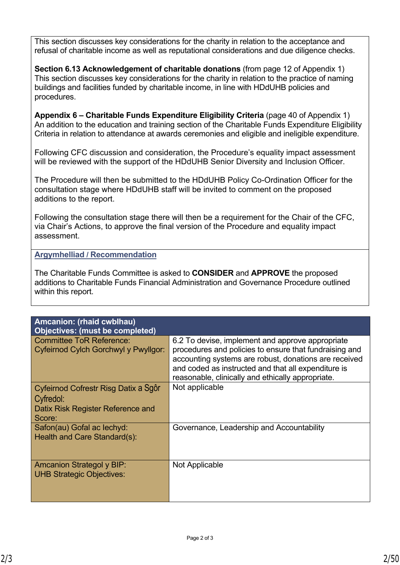This section discusses key considerations for the charity in relation to the acceptance and refusal of charitable income as well as reputational considerations and due diligence checks.

**Section 6.13 Acknowledgement of charitable donations** (from page 12 of Appendix 1) This section discusses key considerations for the charity in relation to the practice of naming buildings and facilities funded by charitable income, in line with HDdUHB policies and procedures.

**Appendix 6 – Charitable Funds Expenditure Eligibility Criteria** (page 40 of Appendix 1) An addition to the education and training section of the Charitable Funds Expenditure Eligibility Criteria in relation to attendance at awards ceremonies and eligible and ineligible expenditure.

Following CFC discussion and consideration, the Procedure's equality impact assessment will be reviewed with the support of the HDdUHB Senior Diversity and Inclusion Officer.

The Procedure will then be submitted to the HDdUHB Policy Co-Ordination Officer for the consultation stage where HDdUHB staff will be invited to comment on the proposed additions to the report.

Following the consultation stage there will then be a requirement for the Chair of the CFC, via Chair's Actions, to approve the final version of the Procedure and equality impact assessment.

**Argymhelliad / Recommendation**

The Charitable Funds Committee is asked to **CONSIDER** and **APPROVE** the proposed additions to Charitable Funds Financial Administration and Governance Procedure outlined within this report.

| Amcanion: (rhaid cwblhau)<br><b>Objectives: (must be completed)</b>                              |                                                                                                                                                                                                                                                                                 |
|--------------------------------------------------------------------------------------------------|---------------------------------------------------------------------------------------------------------------------------------------------------------------------------------------------------------------------------------------------------------------------------------|
| <b>Committee ToR Reference:</b><br>Cyfeirnod Cylch Gorchwyl y Pwyllgor:                          | 6.2 To devise, implement and approve appropriate<br>procedures and policies to ensure that fundraising and<br>accounting systems are robust, donations are received<br>and coded as instructed and that all expenditure is<br>reasonable, clinically and ethically appropriate. |
| Cyfeirnod Cofrestr Risg Datix a Sgôr<br>Cyfredol:<br>Datix Risk Register Reference and<br>Score: | Not applicable                                                                                                                                                                                                                                                                  |
| Safon(au) Gofal ac lechyd:<br>Health and Care Standard(s):                                       | Governance, Leadership and Accountability                                                                                                                                                                                                                                       |
| <b>Amcanion Strategol y BIP:</b><br><b>UHB Strategic Objectives:</b>                             | Not Applicable                                                                                                                                                                                                                                                                  |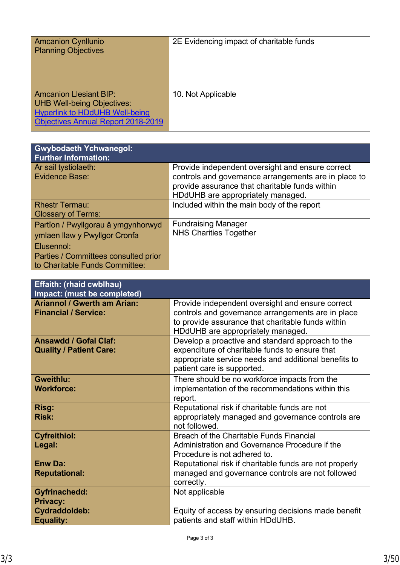| <b>Amcanion Cynllunio</b>                 | 2E Evidencing impact of charitable funds |
|-------------------------------------------|------------------------------------------|
|                                           |                                          |
| <b>Planning Objectives</b>                |                                          |
|                                           |                                          |
|                                           |                                          |
|                                           |                                          |
|                                           |                                          |
|                                           |                                          |
|                                           |                                          |
|                                           |                                          |
| <b>Amcanion Llesiant BIP:</b>             | 10. Not Applicable                       |
|                                           |                                          |
| <b>UHB Well-being Objectives:</b>         |                                          |
|                                           |                                          |
| <b>Hyperlink to HDdUHB Well-being</b>     |                                          |
| <b>Objectives Annual Report 2018-2019</b> |                                          |
|                                           |                                          |
|                                           |                                          |

| <b>Gwybodaeth Ychwanegol:</b><br><b>Further Information:</b>                                                                                                |                                                                                                                                                                                                 |
|-------------------------------------------------------------------------------------------------------------------------------------------------------------|-------------------------------------------------------------------------------------------------------------------------------------------------------------------------------------------------|
| Ar sail tystiolaeth:<br><b>Evidence Base:</b>                                                                                                               | Provide independent oversight and ensure correct<br>controls and governance arrangements are in place to<br>provide assurance that charitable funds within<br>HDdUHB are appropriately managed. |
| <b>Rhestr Termau:</b><br><b>Glossary of Terms:</b>                                                                                                          | Included within the main body of the report                                                                                                                                                     |
| Partïon / Pwyllgorau â ymgynhorwyd<br>ymlaen llaw y Pwyllgor Cronfa<br>Elusennol:<br>Parties / Committees consulted prior<br>to Charitable Funds Committee: | <b>Fundraising Manager</b><br><b>NHS Charities Together</b>                                                                                                                                     |

| <b>Effaith: (rhaid cwblhau)</b><br>Impact: (must be completed)    |                                                                                                                                                                                                 |
|-------------------------------------------------------------------|-------------------------------------------------------------------------------------------------------------------------------------------------------------------------------------------------|
| <b>Ariannol / Gwerth am Arian:</b><br><b>Financial / Service:</b> | Provide independent oversight and ensure correct<br>controls and governance arrangements are in place<br>to provide assurance that charitable funds within<br>HDdUHB are appropriately managed. |
| <b>Ansawdd / Gofal Claf:</b><br><b>Quality / Patient Care:</b>    | Develop a proactive and standard approach to the<br>expenditure of charitable funds to ensure that<br>appropriate service needs and additional benefits to<br>patient care is supported.        |
| <b>Gweithlu:</b><br><b>Workforce:</b>                             | There should be no workforce impacts from the<br>implementation of the recommendations within this<br>report.                                                                                   |
| Risg:<br><b>Risk:</b>                                             | Reputational risk if charitable funds are not<br>appropriately managed and governance controls are<br>not followed.                                                                             |
| <b>Cyfreithiol:</b><br>Legal:                                     | Breach of the Charitable Funds Financial<br>Administration and Governance Procedure if the<br>Procedure is not adhered to.                                                                      |
| <b>Enw Da:</b><br><b>Reputational:</b>                            | Reputational risk if charitable funds are not properly<br>managed and governance controls are not followed<br>correctly.                                                                        |
| <b>Gyfrinachedd:</b><br><b>Privacy:</b>                           | Not applicable                                                                                                                                                                                  |
| Cydraddoldeb:<br><b>Equality:</b>                                 | Equity of access by ensuring decisions made benefit<br>patients and staff within HDdUHB.                                                                                                        |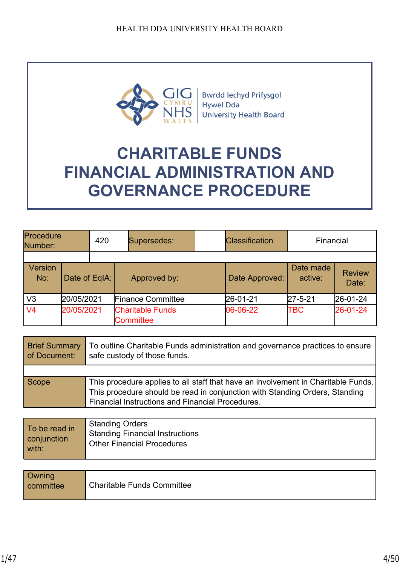

**Bwrdd lechyd Prifysgol Hywel Dda University Health Board** 

# **CHARITABLE FUNDS FINANCIAL ADMINISTRATION AND GOVERNANCE PROCEDURE**

| Procedure<br>Number: |               | 420 | Supersedes:                                 | <b>Classification</b> | Financial            |                        |
|----------------------|---------------|-----|---------------------------------------------|-----------------------|----------------------|------------------------|
|                      |               |     |                                             |                       |                      |                        |
| Version<br>No:       | Date of EqIA: |     | Approved by:                                | Date Approved:        | Date made<br>active: | <b>Review</b><br>Date: |
| V3                   | 20/05/2021    |     | <b>Finance Committee</b>                    | 26-01-21              | $27 - 5 - 21$        | $26 - 01 - 24$         |
| V <sub>4</sub>       | 20/05/2021    |     | <b>Charitable Funds</b><br><b>Committee</b> | 06-06-22              | TBC                  | 26-01-24               |

| <b>Brief Summary</b><br>of Document: | To outline Charitable Funds administration and governance practices to ensure<br>safe custody of those funds.                                                                                                               |  |
|--------------------------------------|-----------------------------------------------------------------------------------------------------------------------------------------------------------------------------------------------------------------------------|--|
|                                      |                                                                                                                                                                                                                             |  |
| Scope                                | This procedure applies to all staff that have an involvement in Charitable Funds.<br>This procedure should be read in conjunction with Standing Orders, Standing<br><b>Financial Instructions and Financial Procedures.</b> |  |

| To be read in | <b>Standing Orders</b>                 |
|---------------|----------------------------------------|
| conjunction   | <b>Standing Financial Instructions</b> |
| with:         | <b>Other Financial Procedures</b>      |

| Owning<br>committee | <b>Charitable Funds Committee</b> |
|---------------------|-----------------------------------|
|---------------------|-----------------------------------|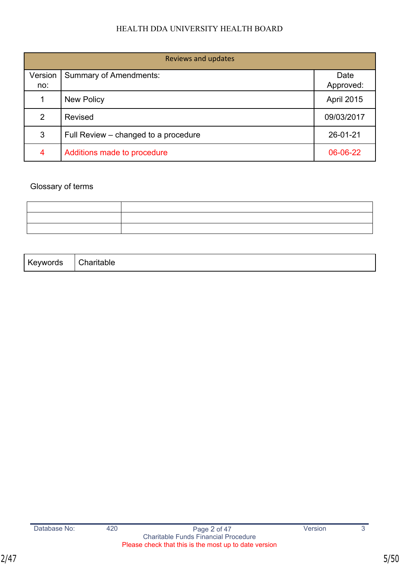| <b>Reviews and updates</b> |                                      |                   |
|----------------------------|--------------------------------------|-------------------|
| Version<br>no:             | <b>Summary of Amendments:</b>        | Date<br>Approved: |
| 1                          | <b>New Policy</b>                    | April 2015        |
| 2                          | <b>Revised</b>                       | 09/03/2017        |
| 3                          | Full Review – changed to a procedure | 26-01-21          |
| 4                          | Additions made to procedure          | 06-06-22          |

## Glossary of terms

| $\mathbf{z}$ | .                                                                                                               |
|--------------|-----------------------------------------------------------------------------------------------------------------|
| .            | ------                                                                                                          |
| yworus       | .                                                                                                               |
| . .          | lable                                                                                                           |
|              | the contract of the contract of the contract of the contract of the contract of the contract of the contract of |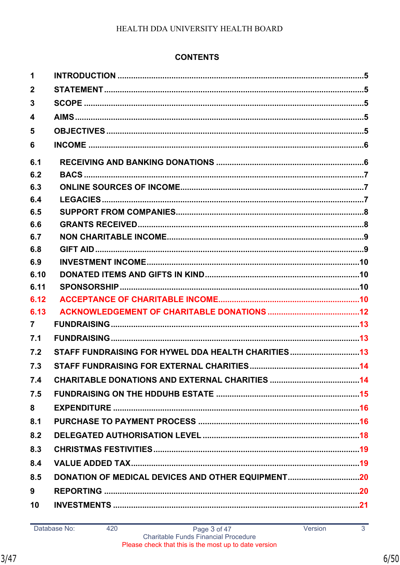## **CONTENTS**

| 1                       |                                                    |  |
|-------------------------|----------------------------------------------------|--|
| $\overline{\mathbf{2}}$ |                                                    |  |
| 3                       |                                                    |  |
| 4                       |                                                    |  |
| 5                       |                                                    |  |
| 6                       |                                                    |  |
| 6.1                     |                                                    |  |
| 6.2                     |                                                    |  |
| 6.3                     |                                                    |  |
| 6.4                     |                                                    |  |
| 6.5                     |                                                    |  |
| 6.6                     |                                                    |  |
| 6.7                     |                                                    |  |
| 6.8                     |                                                    |  |
| 6.9                     |                                                    |  |
| 6.10                    |                                                    |  |
| 6.11                    |                                                    |  |
| 6.12                    |                                                    |  |
| 6.13                    |                                                    |  |
| $\overline{7}$          |                                                    |  |
| 7.1                     |                                                    |  |
| 7.2                     | STAFF FUNDRAISING FOR HYWEL DDA HEALTH CHARITIES13 |  |
| 7.3                     |                                                    |  |
| 7.4                     |                                                    |  |
| 7.5                     |                                                    |  |
| 8                       |                                                    |  |
| 8.1                     |                                                    |  |
| 8.2                     |                                                    |  |
| 8.3                     |                                                    |  |
| 8.4                     |                                                    |  |
| 8.5                     | DONATION OF MEDICAL DEVICES AND OTHER EQUIPMENT20  |  |
| 9                       |                                                    |  |
| 10                      |                                                    |  |
|                         |                                                    |  |

 $\overline{3}$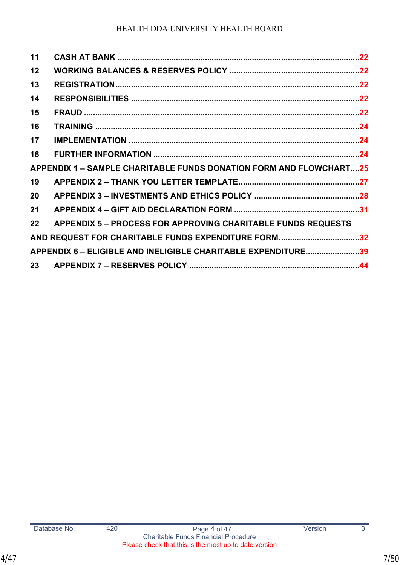| 11 |                                                                           |  |
|----|---------------------------------------------------------------------------|--|
| 12 |                                                                           |  |
| 13 |                                                                           |  |
| 14 |                                                                           |  |
| 15 |                                                                           |  |
| 16 |                                                                           |  |
| 17 |                                                                           |  |
| 18 |                                                                           |  |
|    | <b>APPENDIX 1 – SAMPLE CHARITABLE FUNDS DONATION FORM AND FLOWCHART25</b> |  |
| 19 |                                                                           |  |
| 20 |                                                                           |  |
| 21 |                                                                           |  |
| 22 | <b>APPENDIX 5 – PROCESS FOR APPROVING CHARITABLE FUNDS REQUESTS</b>       |  |
|    | AND REQUEST FOR CHARITABLE FUNDS EXPENDITURE FORM32                       |  |
|    | APPENDIX 6 - ELIGIBLE AND INELIGIBLE CHARITABLE EXPENDITURE39             |  |
|    |                                                                           |  |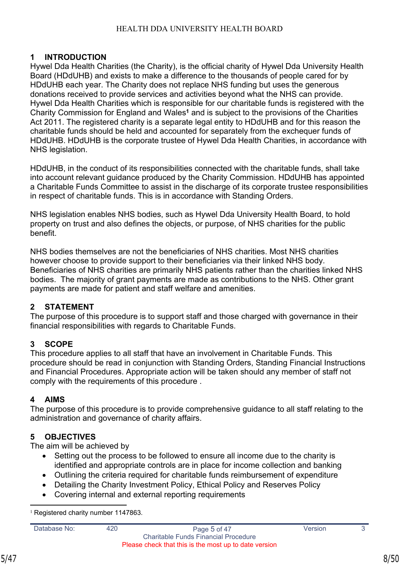## <span id="page-7-0"></span>**1 INTRODUCTION**

Hywel Dda Health Charities (the Charity), is the official charity of Hywel Dda University Health Board (HDdUHB) and exists to make a difference to the thousands of people cared for by HDdUHB each year. The Charity does not replace NHS funding but uses the generous donations received to provide services and activities beyond what the NHS can provide. Hywel Dda Health Charities which is responsible for our charitable funds is registered with the Charity Commission for England and Wales<sup>1</sup> and is subject to the provisions of the Charities Act 2011. The registered charity is a separate legal entity to HDdUHB and for this reason the charitable funds should be held and accounted for separately from the exchequer funds of HDdUHB. HDdUHB is the corporate trustee of Hywel Dda Health Charities, in accordance with NHS legislation.

HDdUHB, in the conduct of its responsibilities connected with the charitable funds, shall take into account relevant guidance produced by the Charity Commission. HDdUHB has appointed a Charitable Funds Committee to assist in the discharge of its corporate trustee responsibilities in respect of charitable funds. This is in accordance with Standing Orders.

NHS legislation enables NHS bodies, such as Hywel Dda University Health Board, to hold property on trust and also defines the objects, or purpose, of NHS charities for the public **benefit** 

NHS bodies themselves are not the beneficiaries of NHS charities. Most NHS charities however choose to provide support to their beneficiaries via their linked NHS body. Beneficiaries of NHS charities are primarily NHS patients rather than the charities linked NHS bodies. The majority of grant payments are made as contributions to the NHS. Other grant payments are made for patient and staff welfare and amenities.

## <span id="page-7-1"></span>**2 STATEMENT**

The purpose of this procedure is to support staff and those charged with governance in their financial responsibilities with regards to Charitable Funds.

#### <span id="page-7-2"></span>**3 SCOPE**

This procedure applies to all staff that have an involvement in Charitable Funds. This procedure should be read in conjunction with Standing Orders, Standing Financial Instructions and Financial Procedures. Appropriate action will be taken should any member of staff not comply with the requirements of this procedure .

## <span id="page-7-3"></span>**4 AIMS**

The purpose of this procedure is to provide comprehensive guidance to all staff relating to the administration and governance of charity affairs.

## <span id="page-7-4"></span>**5 OBJECTIVES**

The aim will be achieved by

- Setting out the process to be followed to ensure all income due to the charity is identified and appropriate controls are in place for income collection and banking
- Outlining the criteria required for charitable funds reimbursement of expenditure
- Detailing the Charity Investment Policy, Ethical Policy and Reserves Policy
- Covering internal and external reporting requirements

<sup>1</sup> Registered charity number 1147863.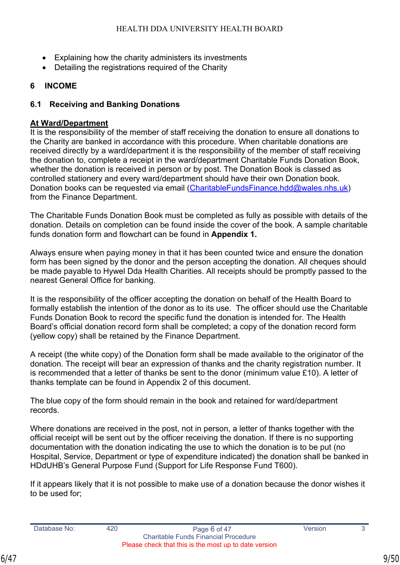- Explaining how the charity administers its investments
- Detailing the registrations required of the Charity

## <span id="page-8-0"></span>**6 INCOME**

## <span id="page-8-1"></span>**6.1 Receiving and Banking Donations**

## **At Ward/Department**

It is the responsibility of the member of staff receiving the donation to ensure all donations to the Charity are banked in accordance with this procedure. When charitable donations are received directly by a ward/department it is the responsibility of the member of staff receiving the donation to, complete a receipt in the ward/department Charitable Funds Donation Book, whether the donation is received in person or by post. The Donation Book is classed as controlled stationery and every ward/department should have their own Donation book. Donation books can be requested via email [\(CharitableFundsFinance.hdd@wales.nhs.uk](mailto:CharitableFundsFinance.hdd@wales.nhs.uk)) from the Finance Department.

The Charitable Funds Donation Book must be completed as fully as possible with details of the donation. Details on completion can be found inside the cover of the book. A sample charitable funds donation form and flowchart can be found in **Appendix 1.**

Always ensure when paying money in that it has been counted twice and ensure the donation form has been signed by the donor and the person accepting the donation. All cheques should be made payable to Hywel Dda Health Charities. All receipts should be promptly passed to the nearest General Office for banking.

It is the responsibility of the officer accepting the donation on behalf of the Health Board to formally establish the intention of the donor as to its use. The officer should use the Charitable Funds Donation Book to record the specific fund the donation is intended for. The Health Board's official donation record form shall be completed; a copy of the donation record form (yellow copy) shall be retained by the Finance Department.

A receipt (the white copy) of the Donation form shall be made available to the originator of the donation. The receipt will bear an expression of thanks and the charity registration number. It is recommended that a letter of thanks be sent to the donor (minimum value £10). A letter of thanks template can be found in Appendix 2 of this document.

The blue copy of the form should remain in the book and retained for ward/department records.

Where donations are received in the post, not in person, a letter of thanks together with the official receipt will be sent out by the officer receiving the donation. If there is no supporting documentation with the donation indicating the use to which the donation is to be put (no Hospital, Service, Department or type of expenditure indicated) the donation shall be banked in HDdUHB's General Purpose Fund (Support for Life Response Fund T600).

If it appears likely that it is not possible to make use of a donation because the donor wishes it to be used for;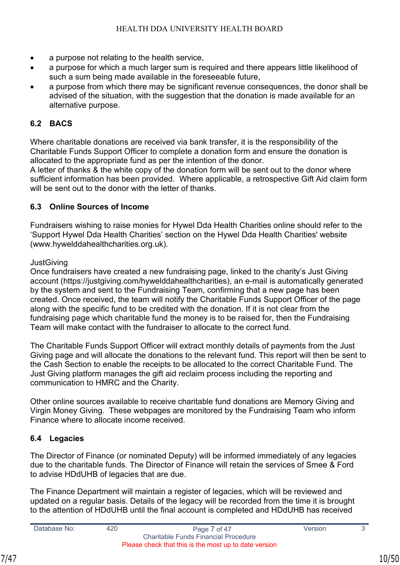- a purpose not relating to the health service,
- a purpose for which a much larger sum is required and there appears little likelihood of such a sum being made available in the foreseeable future,
- a purpose from which there may be significant revenue consequences, the donor shall be advised of the situation, with the suggestion that the donation is made available for an alternative purpose.

## <span id="page-9-0"></span>**6.2 BACS**

Where charitable donations are received via bank transfer, it is the responsibility of the Charitable Funds Support Officer to complete a donation form and ensure the donation is allocated to the appropriate fund as per the intention of the donor.

A letter of thanks & the white copy of the donation form will be sent out to the donor where sufficient information has been provided. Where applicable, a retrospective Gift Aid claim form will be sent out to the donor with the letter of thanks.

## <span id="page-9-1"></span>**6.3 Online Sources of Income**

Fundraisers wishing to raise monies for Hywel Dda Health Charities online should refer to the 'Support Hywel Dda Health Charities' section on the Hywel Dda Health Charities' website (www.hywelddahealthcharities.org.uk).

**JustGiving** 

Once fundraisers have created a new fundraising page, linked to the charity's Just Giving account (https://justgiving.com/hywelddahealthcharities), an e-mail is automatically generated by the system and sent to the Fundraising Team, confirming that a new page has been created. Once received, the team will notify the Charitable Funds Support Officer of the page along with the specific fund to be credited with the donation. If it is not clear from the fundraising page which charitable fund the money is to be raised for, then the Fundraising Team will make contact with the fundraiser to allocate to the correct fund.

The Charitable Funds Support Officer will extract monthly details of payments from the Just Giving page and will allocate the donations to the relevant fund. This report will then be sent to the Cash Section to enable the receipts to be allocated to the correct Charitable Fund. The Just Giving platform manages the gift aid reclaim process including the reporting and communication to HMRC and the Charity.

Other online sources available to receive charitable fund donations are Memory Giving and Virgin Money Giving. These webpages are monitored by the Fundraising Team who inform Finance where to allocate income received.

## <span id="page-9-2"></span>**6.4 Legacies**

The Director of Finance (or nominated Deputy) will be informed immediately of any legacies due to the charitable funds. The Director of Finance will retain the services of Smee & Ford to advise HDdUHB of legacies that are due.

The Finance Department will maintain a register of legacies, which will be reviewed and updated on a regular basis. Details of the legacy will be recorded from the time it is brought to the attention of HDdUHB until the final account is completed and HDdUHB has received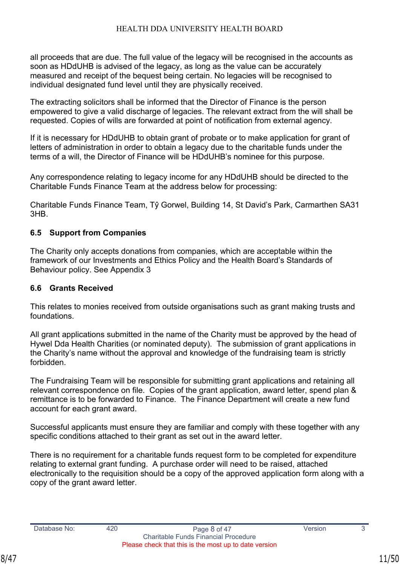all proceeds that are due. The full value of the legacy will be recognised in the accounts as soon as HDdUHB is advised of the legacy, as long as the value can be accurately measured and receipt of the bequest being certain. No legacies will be recognised to individual designated fund level until they are physically received.

The extracting solicitors shall be informed that the Director of Finance is the person empowered to give a valid discharge of legacies. The relevant extract from the will shall be requested. Copies of wills are forwarded at point of notification from external agency.

If it is necessary for HDdUHB to obtain grant of probate or to make application for grant of letters of administration in order to obtain a legacy due to the charitable funds under the terms of a will, the Director of Finance will be HDdUHB's nominee for this purpose.

Any correspondence relating to legacy income for any HDdUHB should be directed to the Charitable Funds Finance Team at the address below for processing:

Charitable Funds Finance Team, Tŷ Gorwel, Building 14, St David's Park, Carmarthen SA31 3HB.

#### <span id="page-10-0"></span>**6.5 Support from Companies**

The Charity only accepts donations from companies, which are acceptable within the framework of our Investments and Ethics Policy and the Health Board's Standards of Behaviour policy. See Appendix 3

#### <span id="page-10-1"></span>**6.6 Grants Received**

This relates to monies received from outside organisations such as grant making trusts and foundations.

All grant applications submitted in the name of the Charity must be approved by the head of Hywel Dda Health Charities (or nominated deputy). The submission of grant applications in the Charity's name without the approval and knowledge of the fundraising team is strictly forbidden.

The Fundraising Team will be responsible for submitting grant applications and retaining all relevant correspondence on file. Copies of the grant application, award letter, spend plan & remittance is to be forwarded to Finance. The Finance Department will create a new fund account for each grant award.

Successful applicants must ensure they are familiar and comply with these together with any specific conditions attached to their grant as set out in the award letter.

There is no requirement for a charitable funds request form to be completed for expenditure relating to external grant funding. A purchase order will need to be raised, attached electronically to the requisition should be a copy of the approved application form along with a copy of the grant award letter.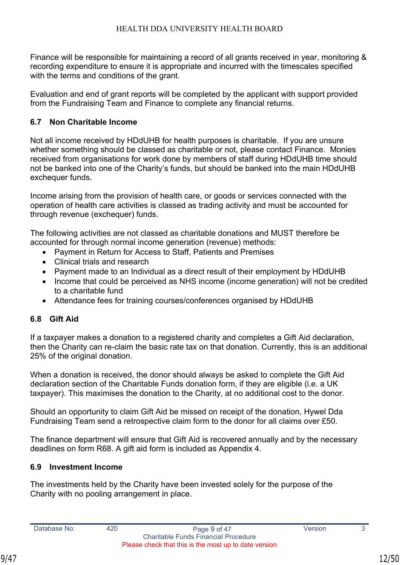Finance will be responsible for maintaining a record of all grants received in year, monitoring & recording expenditure to ensure it is appropriate and incurred with the timescales specified with the terms and conditions of the grant.

Evaluation and end of grant reports will be completed by the applicant with support provided from the Fundraising Team and Finance to complete any financial returns.

## <span id="page-11-0"></span>**6.7 Non Charitable Income**

Not all income received by HDdUHB for health purposes is charitable. If you are unsure whether something should be classed as charitable or not, please contact Finance. Monies received from organisations for work done by members of staff during HDdUHB time should not be banked into one of the Charity's funds, but should be banked into the main HDdUHB exchequer funds.

Income arising from the provision of health care, or goods or services connected with the operation of health care activities is classed as trading activity and must be accounted for through revenue (exchequer) funds.

The following activities are not classed as charitable donations and MUST therefore be accounted for through normal income generation (revenue) methods:

- Payment in Return for Access to Staff, Patients and Premises
- Clinical trials and research
- Payment made to an Individual as a direct result of their employment by HDdUHB
- Income that could be perceived as NHS income (income generation) will not be credited to a charitable fund
- Attendance fees for training courses/conferences organised by HDdUHB

## <span id="page-11-1"></span>**6.8 Gift Aid**

If a taxpayer makes a donation to a registered charity and completes a Gift Aid declaration, then the Charity can re-claim the basic rate tax on that donation. Currently, this is an additional 25% of the original donation.

When a donation is received, the donor should always be asked to complete the Gift Aid declaration section of the Charitable Funds donation form, if they are eligible (i.e. a UK taxpayer). This maximises the donation to the Charity, at no additional cost to the donor.

Should an opportunity to claim Gift Aid be missed on receipt of the donation, Hywel Dda Fundraising Team send a retrospective claim form to the donor for all claims over £50.

The finance department will ensure that Gift Aid is recovered annually and by the necessary deadlines on form R68. A gift aid form is included as Appendix 4.

## <span id="page-11-2"></span>**6.9 Investment Income**

The investments held by the Charity have been invested solely for the purpose of the Charity with no pooling arrangement in place.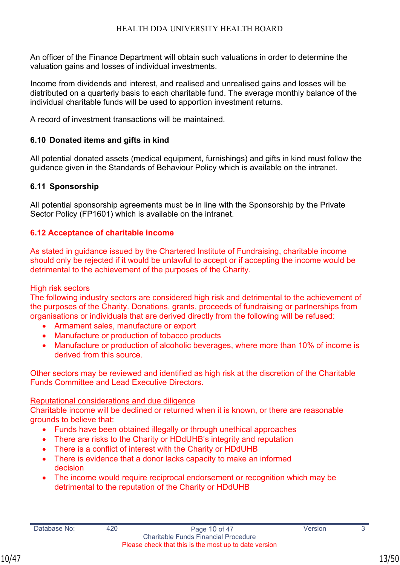An officer of the Finance Department will obtain such valuations in order to determine the valuation gains and losses of individual investments.

Income from dividends and interest, and realised and unrealised gains and losses will be distributed on a quarterly basis to each charitable fund. The average monthly balance of the individual charitable funds will be used to apportion investment returns.

A record of investment transactions will be maintained.

## <span id="page-12-0"></span>**6.10 Donated items and gifts in kind**

All potential donated assets (medical equipment, furnishings) and gifts in kind must follow the guidance given in the Standards of Behaviour Policy which is available on the intranet.

## <span id="page-12-1"></span>**6.11 Sponsorship**

All potential sponsorship agreements must be in line with the Sponsorship by the Private Sector Policy (FP1601) which is available on the intranet.

## **6.12 Acceptance of charitable income**

As stated in guidance issued by the Chartered Institute of Fundraising, charitable income should only be rejected if it would be unlawful to accept or if accepting the income would be detrimental to the achievement of the purposes of the Charity.

#### High risk sectors

The following industry sectors are considered high risk and detrimental to the achievement of the purposes of the Charity. Donations, grants, proceeds of fundraising or partnerships from organisations or individuals that are derived directly from the following will be refused:

- Armament sales, manufacture or export
- Manufacture or production of tobacco products
- Manufacture or production of alcoholic beverages, where more than 10% of income is derived from this source.

Other sectors may be reviewed and identified as high risk at the discretion of the Charitable Funds Committee and Lead Executive Directors.

#### Reputational considerations and due diligence

Charitable income will be declined or returned when it is known, or there are reasonable grounds to believe that:

- Funds have been obtained illegally or through unethical approaches
- There are risks to the Charity or HDdUHB's integrity and reputation
- There is a conflict of interest with the Charity or HDdUHB
- There is evidence that a donor lacks capacity to make an informed decision
- The income would require reciprocal endorsement or recognition which may be detrimental to the reputation of the Charity or HDdUHB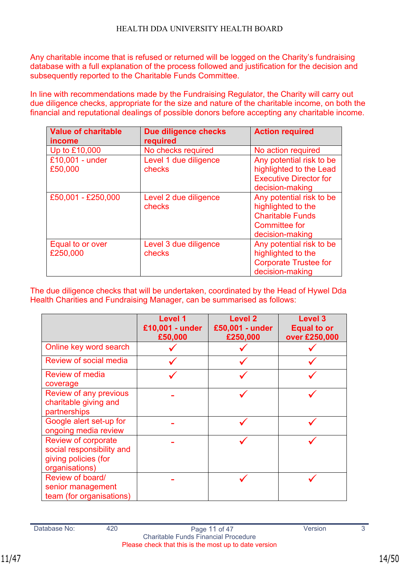Any charitable income that is refused or returned will be logged on the Charity's fundraising database with a full explanation of the process followed and justification for the decision and subsequently reported to the Charitable Funds Committee.

In line with recommendations made by the Fundraising Regulator, the Charity will carry out due diligence checks, appropriate for the size and nature of the charitable income, on both the financial and reputational dealings of possible donors before accepting any charitable income.

| <b>Value of charitable</b><br><i>income</i> | <b>Due diligence checks</b><br>required | <b>Action required</b>        |
|---------------------------------------------|-----------------------------------------|-------------------------------|
| Up to £10,000                               | No checks required                      | No action required            |
| £10,001 - under                             | Level 1 due diligence                   | Any potential risk to be      |
| £50,000                                     | checks                                  | highlighted to the Lead       |
|                                             |                                         | <b>Executive Director for</b> |
|                                             |                                         | decision-making               |
| £50,001 - £250,000                          | Level 2 due diligence                   | Any potential risk to be      |
|                                             | checks                                  | highlighted to the            |
|                                             |                                         | <b>Charitable Funds</b>       |
|                                             |                                         | Committee for                 |
|                                             |                                         | decision-making               |
| Equal to or over                            | Level 3 due diligence                   | Any potential risk to be      |
| £250,000                                    | checks                                  | highlighted to the            |
|                                             |                                         | <b>Corporate Trustee for</b>  |
|                                             |                                         | decision-making               |

The due diligence checks that will be undertaken, coordinated by the Head of Hywel Dda Health Charities and Fundraising Manager, can be summarised as follows:

|                                                                                            | Level 1<br>£10,001 - under<br>£50,000 | Level 2<br>£50,001 - under<br>£250,000 | Level 3<br><b>Equal to or</b><br>over £250,000 |
|--------------------------------------------------------------------------------------------|---------------------------------------|----------------------------------------|------------------------------------------------|
| Online key word search                                                                     |                                       |                                        |                                                |
| <b>Review of social media</b>                                                              |                                       |                                        |                                                |
| <b>Review of media</b><br>coverage                                                         |                                       |                                        |                                                |
| <b>Review of any previous</b><br>charitable giving and<br>partnerships                     |                                       |                                        |                                                |
| Google alert set-up for<br>ongoing media review                                            |                                       |                                        |                                                |
| Review of corporate<br>social responsibility and<br>giving policies (for<br>organisations) |                                       |                                        |                                                |
| Review of board/<br>senior management<br>team (for organisations)                          |                                       |                                        |                                                |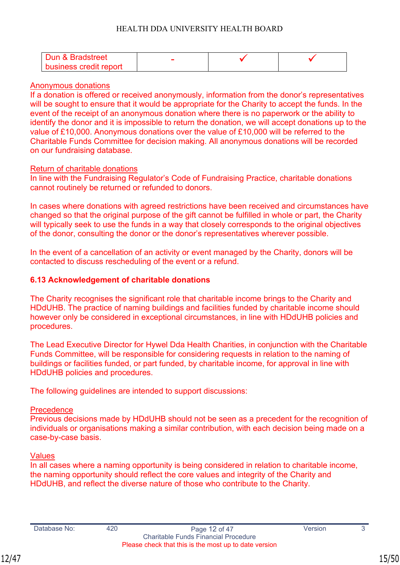| Dun & Bradstreet       |  |  |
|------------------------|--|--|
| business credit report |  |  |

#### Anonymous donations

If a donation is offered or received anonymously, information from the donor's representatives will be sought to ensure that it would be appropriate for the Charity to accept the funds. In the event of the receipt of an anonymous donation where there is no paperwork or the ability to identify the donor and it is impossible to return the donation, we will accept donations up to the value of £10,000. Anonymous donations over the value of £10,000 will be referred to the Charitable Funds Committee for decision making. All anonymous donations will be recorded on our fundraising database.

#### Return of charitable donations

In line with the Fundraising Regulator's Code of Fundraising Practice, charitable donations cannot routinely be returned or refunded to donors.

In cases where donations with agreed restrictions have been received and circumstances have changed so that the original purpose of the gift cannot be fulfilled in whole or part, the Charity will typically seek to use the funds in a way that closely corresponds to the original objectives of the donor, consulting the donor or the donor's representatives wherever possible.

In the event of a cancellation of an activity or event managed by the Charity, donors will be contacted to discuss rescheduling of the event or a refund.

#### **6.13 Acknowledgement of charitable donations**

The Charity recognises the significant role that charitable income brings to the Charity and HDdUHB. The practice of naming buildings and facilities funded by charitable income should however only be considered in exceptional circumstances, in line with HDdUHB policies and procedures.

The Lead Executive Director for Hywel Dda Health Charities, in conjunction with the Charitable Funds Committee, will be responsible for considering requests in relation to the naming of buildings or facilities funded, or part funded, by charitable income, for approval in line with HDdUHB policies and procedures.

The following guidelines are intended to support discussions:

#### **Precedence**

Previous decisions made by HDdUHB should not be seen as a precedent for the recognition of individuals or organisations making a similar contribution, with each decision being made on a case-by-case basis.

#### Values

In all cases where a naming opportunity is being considered in relation to charitable income, the naming opportunity should reflect the core values and integrity of the Charity and HDdUHB, and reflect the diverse nature of those who contribute to the Charity.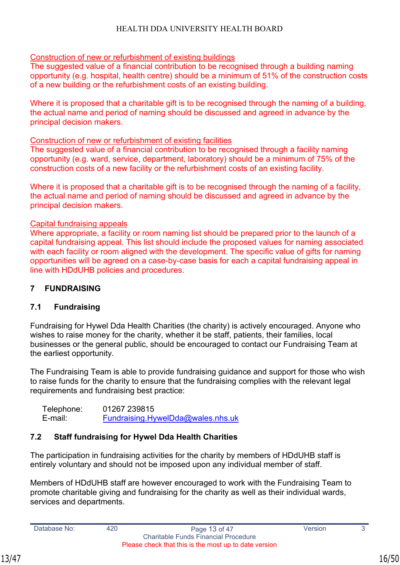## Construction of new or refurbishment of existing buildings

The suggested value of a financial contribution to be recognised through a building naming opportunity (e.g. hospital, health centre) should be a minimum of 51% of the construction costs of a new building or the refurbishment costs of an existing building.

Where it is proposed that a charitable gift is to be recognised through the naming of a building, the actual name and period of naming should be discussed and agreed in advance by the principal decision makers.

#### Construction of new or refurbishment of existing facilities

The suggested value of a financial contribution to be recognised through a facility naming opportunity (e.g. ward, service, department, laboratory) should be a minimum of 75% of the construction costs of a new facility or the refurbishment costs of an existing facility.

Where it is proposed that a charitable gift is to be recognised through the naming of a facility, the actual name and period of naming should be discussed and agreed in advance by the principal decision makers.

#### Capital fundraising appeals

Where appropriate, a facility or room naming list should be prepared prior to the launch of a capital fundraising appeal. This list should include the proposed values for naming associated with each facility or room aligned with the development. The specific value of gifts for naming opportunities will be agreed on a case-by-case basis for each a capital fundraising appeal in line with HDdUHB policies and procedures.

#### <span id="page-15-0"></span>**7 FUNDRAISING**

#### **7.1 Fundraising**

Fundraising for Hywel Dda Health Charities (the charity) is actively encouraged. Anyone who wishes to raise money for the charity, whether it be staff, patients, their families, local businesses or the general public, should be encouraged to contact our Fundraising Team at the earliest opportunity.

The Fundraising Team is able to provide fundraising guidance and support for those who wish to raise funds for the charity to ensure that the fundraising complies with the relevant legal requirements and fundraising best practice:

Telephone: 01267 239815 E-mail: [Fundraising.HywelDda@wales.nhs.uk](mailto:Fundraising.HywelDda@wales.nhs.uk)

## **7.2 Staff fundraising for Hywel Dda Health Charities**

The participation in fundraising activities for the charity by members of HDdUHB staff is entirely voluntary and should not be imposed upon any individual member of staff.

Members of HDdUHB staff are however encouraged to work with the Fundraising Team to promote charitable giving and fundraising for the charity as well as their individual wards, services and departments.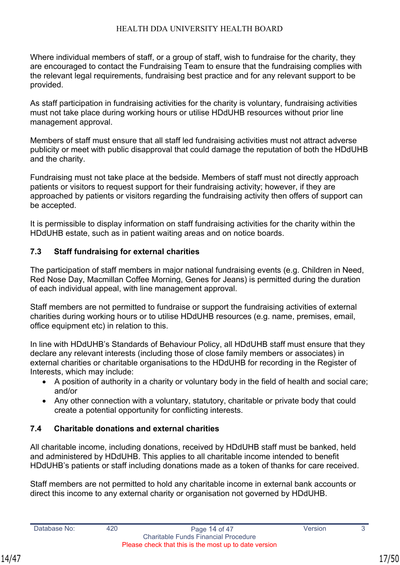Where individual members of staff, or a group of staff, wish to fundraise for the charity, they are encouraged to contact the Fundraising Team to ensure that the fundraising complies with the relevant legal requirements, fundraising best practice and for any relevant support to be provided.

As staff participation in fundraising activities for the charity is voluntary, fundraising activities must not take place during working hours or utilise HDdUHB resources without prior line management approval.

Members of staff must ensure that all staff led fundraising activities must not attract adverse publicity or meet with public disapproval that could damage the reputation of both the HDdUHB and the charity.

Fundraising must not take place at the bedside. Members of staff must not directly approach patients or visitors to request support for their fundraising activity; however, if they are approached by patients or visitors regarding the fundraising activity then offers of support can be accepted.

It is permissible to display information on staff fundraising activities for the charity within the HDdUHB estate, such as in patient waiting areas and on notice boards.

## <span id="page-16-0"></span>**7.3 Staff fundraising for external charities**

The participation of staff members in major national fundraising events (e.g. Children in Need, Red Nose Day, Macmillan Coffee Morning, Genes for Jeans) is permitted during the duration of each individual appeal, with line management approval.

Staff members are not permitted to fundraise or support the fundraising activities of external charities during working hours or to utilise HDdUHB resources (e.g. name, premises, email, office equipment etc) in relation to this.

In line with HDdUHB's Standards of Behaviour Policy, all HDdUHB staff must ensure that they declare any relevant interests (including those of close family members or associates) in external charities or charitable organisations to the HDdUHB for recording in the Register of Interests, which may include:

- A position of authority in a charity or voluntary body in the field of health and social care; and/or
- Any other connection with a voluntary, statutory, charitable or private body that could create a potential opportunity for conflicting interests.

## <span id="page-16-1"></span>**7.4 Charitable donations and external charities**

All charitable income, including donations, received by HDdUHB staff must be banked, held and administered by HDdUHB. This applies to all charitable income intended to benefit HDdUHB's patients or staff including donations made as a token of thanks for care received.

Staff members are not permitted to hold any charitable income in external bank accounts or direct this income to any external charity or organisation not governed by HDdUHB.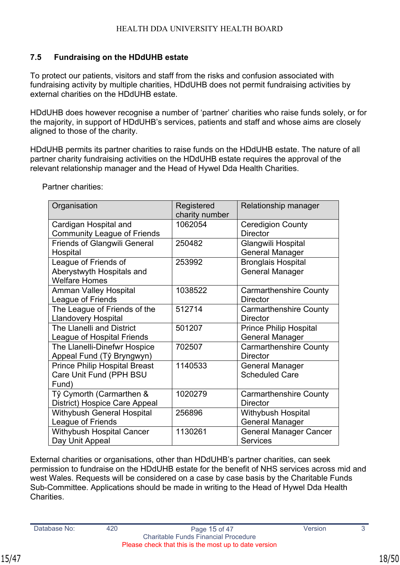## <span id="page-17-0"></span>**7.5 Fundraising on the HDdUHB estate**

To protect our patients, visitors and staff from the risks and confusion associated with fundraising activity by multiple charities, HDdUHB does not permit fundraising activities by external charities on the HDdUHB estate.

HDdUHB does however recognise a number of 'partner' charities who raise funds solely, or for the majority, in support of HDdUHB's services, patients and staff and whose aims are closely aligned to those of the charity.

HDdUHB permits its partner charities to raise funds on the HDdUHB estate. The nature of all partner charity fundraising activities on the HDdUHB estate requires the approval of the relevant relationship manager and the Head of Hywel Dda Health Charities.

| Organisation                         | Registered<br>charity number | Relationship manager          |
|--------------------------------------|------------------------------|-------------------------------|
| Cardigan Hospital and                | 1062054                      | <b>Ceredigion County</b>      |
| <b>Community League of Friends</b>   |                              | <b>Director</b>               |
| <b>Friends of Glangwili General</b>  | 250482                       | Glangwili Hospital            |
| Hospital                             |                              | <b>General Manager</b>        |
| League of Friends of                 | 253992                       | <b>Bronglais Hospital</b>     |
| Aberystwyth Hospitals and            |                              | <b>General Manager</b>        |
| <b>Welfare Homes</b>                 |                              |                               |
| <b>Amman Valley Hospital</b>         | 1038522                      | <b>Carmarthenshire County</b> |
| League of Friends                    |                              | <b>Director</b>               |
| The League of Friends of the         | 512714                       | <b>Carmarthenshire County</b> |
| <b>Llandovery Hospital</b>           |                              | <b>Director</b>               |
| The Llanelli and District            | 501207                       | <b>Prince Philip Hospital</b> |
| League of Hospital Friends           |                              | <b>General Manager</b>        |
| The Llanelli-Dinefwr Hospice         | 702507                       | <b>Carmarthenshire County</b> |
| Appeal Fund (Tŷ Bryngwyn)            |                              | <b>Director</b>               |
| <b>Prince Philip Hospital Breast</b> | 1140533                      | <b>General Manager</b>        |
| Care Unit Fund (PPH BSU              |                              | <b>Scheduled Care</b>         |
| Fund)                                |                              |                               |
| Tŷ Cymorth (Carmarthen &             | 1020279                      | <b>Carmarthenshire County</b> |
| District) Hospice Care Appeal        |                              | <b>Director</b>               |
| <b>Withybush General Hospital</b>    | 256896                       | Withybush Hospital            |
| League of Friends                    |                              | <b>General Manager</b>        |
| <b>Withybush Hospital Cancer</b>     | 1130261                      | <b>General Manager Cancer</b> |
| Day Unit Appeal                      |                              | <b>Services</b>               |

Partner charities:

External charities or organisations, other than HDdUHB's partner charities, can seek permission to fundraise on the HDdUHB estate for the benefit of NHS services across mid and west Wales. Requests will be considered on a case by case basis by the Charitable Funds Sub-Committee. Applications should be made in writing to the Head of Hywel Dda Health **Charities**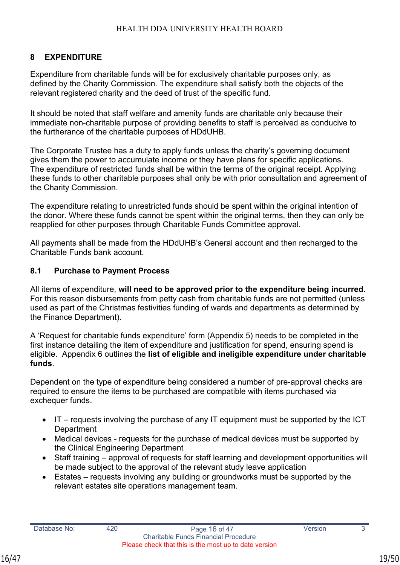## <span id="page-18-0"></span>**8 EXPENDITURE**

Expenditure from charitable funds will be for exclusively charitable purposes only, as defined by the Charity Commission. The expenditure shall satisfy both the objects of the relevant registered charity and the deed of trust of the specific fund.

It should be noted that staff welfare and amenity funds are charitable only because their immediate non-charitable purpose of providing benefits to staff is perceived as conducive to the furtherance of the charitable purposes of HDdUHB.

The Corporate Trustee has a duty to apply funds unless the charity's governing document gives them the power to accumulate income or they have plans for specific applications. The expenditure of restricted funds shall be within the terms of the original receipt. Applying these funds to other charitable purposes shall only be with prior consultation and agreement of the Charity Commission.

The expenditure relating to unrestricted funds should be spent within the original intention of the donor. Where these funds cannot be spent within the original terms, then they can only be reapplied for other purposes through Charitable Funds Committee approval.

All payments shall be made from the HDdUHB's General account and then recharged to the Charitable Funds bank account.

#### **8.1 Purchase to Payment Process**

All items of expenditure, **will need to be approved prior to the expenditure being incurred**. For this reason disbursements from petty cash from charitable funds are not permitted (unless used as part of the Christmas festivities funding of wards and departments as determined by the Finance Department).

A 'Request for charitable funds expenditure' form (Appendix 5) needs to be completed in the first instance detailing the item of expenditure and justification for spend, ensuring spend is eligible. Appendix 6 outlines the **list of eligible and ineligible expenditure under charitable funds**.

Dependent on the type of expenditure being considered a number of pre-approval checks are required to ensure the items to be purchased are compatible with items purchased via exchequer funds.

- IT requests involving the purchase of any IT equipment must be supported by the ICT **Department**
- Medical devices requests for the purchase of medical devices must be supported by the Clinical Engineering Department
- Staff training approval of requests for staff learning and development opportunities will be made subject to the approval of the relevant study leave application
- Estates requests involving any building or groundworks must be supported by the relevant estates site operations management team.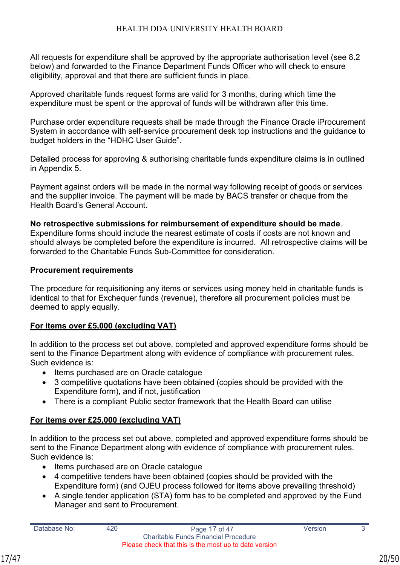All requests for expenditure shall be approved by the appropriate authorisation level (see 8.2 below) and forwarded to the Finance Department Funds Officer who will check to ensure eligibility, approval and that there are sufficient funds in place.

Approved charitable funds request forms are valid for 3 months, during which time the expenditure must be spent or the approval of funds will be withdrawn after this time.

Purchase order expenditure requests shall be made through the Finance Oracle iProcurement System in accordance with self-service procurement desk top instructions and the guidance to budget holders in the "HDHC User Guide".

Detailed process for approving & authorising charitable funds expenditure claims is in outlined in Appendix 5.

Payment against orders will be made in the normal way following receipt of goods or services and the supplier invoice. The payment will be made by BACS transfer or cheque from the Health Board's General Account.

**No retrospective submissions for reimbursement of expenditure should be made**. Expenditure forms should include the nearest estimate of costs if costs are not known and should always be completed before the expenditure is incurred. All retrospective claims will be forwarded to the Charitable Funds Sub-Committee for consideration.

#### **Procurement requirements**

The procedure for requisitioning any items or services using money held in charitable funds is identical to that for Exchequer funds (revenue), therefore all procurement policies must be deemed to apply equally.

## **For items over £5,000 (excluding VAT)**

In addition to the process set out above, completed and approved expenditure forms should be sent to the Finance Department along with evidence of compliance with procurement rules. Such evidence is:

- Items purchased are on Oracle catalogue
- 3 competitive quotations have been obtained (copies should be provided with the Expenditure form), and if not, justification
- There is a compliant Public sector framework that the Health Board can utilise

## **For items over £25,000 (excluding VAT)**

In addition to the process set out above, completed and approved expenditure forms should be sent to the Finance Department along with evidence of compliance with procurement rules. Such evidence is:

- Items purchased are on Oracle catalogue
- 4 competitive tenders have been obtained (copies should be provided with the Expenditure form) (and OJEU process followed for items above prevailing threshold)
- A single tender application (STA) form has to be completed and approved by the Fund Manager and sent to Procurement.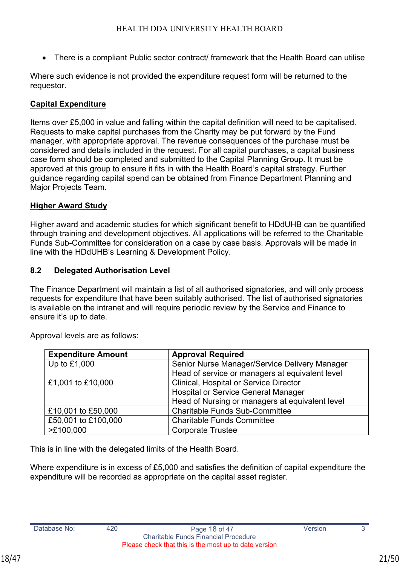• There is a compliant Public sector contract/ framework that the Health Board can utilise

Where such evidence is not provided the expenditure request form will be returned to the requestor.

## **Capital Expenditure**

Items over £5,000 in value and falling within the capital definition will need to be capitalised. Requests to make capital purchases from the Charity may be put forward by the Fund manager, with appropriate approval. The revenue consequences of the purchase must be considered and details included in the request. For all capital purchases, a capital business case form should be completed and submitted to the Capital Planning Group. It must be approved at this group to ensure it fits in with the Health Board's capital strategy. Further guidance regarding capital spend can be obtained from Finance Department Planning and Major Projects Team.

## **Higher Award Study**

Higher award and academic studies for which significant benefit to HDdUHB can be quantified through training and development objectives. All applications will be referred to the Charitable Funds Sub-Committee for consideration on a case by case basis. Approvals will be made in line with the HDdUHB's Learning & Development Policy.

## <span id="page-20-0"></span>**8.2 Delegated Authorisation Level**

The Finance Department will maintain a list of all authorised signatories, and will only process requests for expenditure that have been suitably authorised. The list of authorised signatories is available on the intranet and will require periodic review by the Service and Finance to ensure it's up to date.

| <b>Expenditure Amount</b> | <b>Approval Required</b>                        |
|---------------------------|-------------------------------------------------|
| Up to $£1,000$            | Senior Nurse Manager/Service Delivery Manager   |
|                           | Head of service or managers at equivalent level |
| £1,001 to £10,000         | <b>Clinical, Hospital or Service Director</b>   |
|                           | <b>Hospital or Service General Manager</b>      |
|                           | Head of Nursing or managers at equivalent level |
| £10,001 to £50,000        | <b>Charitable Funds Sub-Committee</b>           |
| £50,001 to £100,000       | <b>Charitable Funds Committee</b>               |
| >E100,000                 | <b>Corporate Trustee</b>                        |

Approval levels are as follows:

This is in line with the delegated limits of the Health Board.

Where expenditure is in excess of £5,000 and satisfies the definition of capital expenditure the expenditure will be recorded as appropriate on the capital asset register.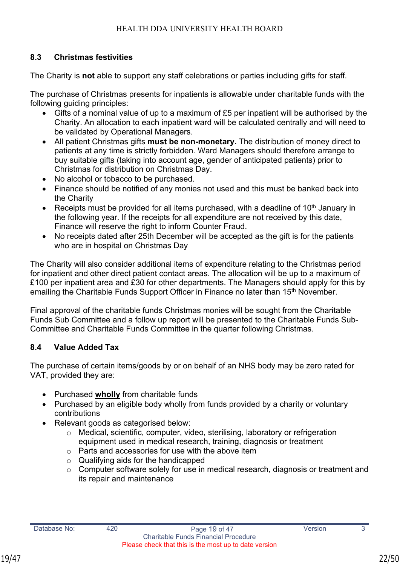## <span id="page-21-0"></span>**8.3 Christmas festivities**

The Charity is **not** able to support any staff celebrations or parties including gifts for staff.

The purchase of Christmas presents for inpatients is allowable under charitable funds with the following guiding principles:

- Gifts of a nominal value of up to a maximum of £5 per inpatient will be authorised by the Charity. An allocation to each inpatient ward will be calculated centrally and will need to be validated by Operational Managers.
- All patient Christmas gifts **must be non-monetary.** The distribution of money direct to patients at any time is strictly forbidden. Ward Managers should therefore arrange to buy suitable gifts (taking into account age, gender of anticipated patients) prior to Christmas for distribution on Christmas Day.
- No alcohol or tobacco to be purchased.
- Finance should be notified of any monies not used and this must be banked back into the Charity
- Receipts must be provided for all items purchased, with a deadline of  $10<sup>th</sup>$  January in the following year. If the receipts for all expenditure are not received by this date, Finance will reserve the right to inform Counter Fraud.
- No receipts dated after 25th December will be accepted as the gift is for the patients who are in hospital on Christmas Day

The Charity will also consider additional items of expenditure relating to the Christmas period for inpatient and other direct patient contact areas. The allocation will be up to a maximum of £100 per inpatient area and £30 for other departments. The Managers should apply for this by emailing the Charitable Funds Support Officer in Finance no later than 15<sup>th</sup> November.

Final approval of the charitable funds Christmas monies will be sought from the Charitable Funds Sub Committee and a follow up report will be presented to the Charitable Funds Sub-Committee and Charitable Funds Committee in the quarter following Christmas.

## <span id="page-21-1"></span>**8.4 Value Added Tax**

The purchase of certain items/goods by or on behalf of an NHS body may be zero rated for VAT, provided they are:

- Purchased **wholly** from charitable funds
- Purchased by an eligible body wholly from funds provided by a charity or voluntary contributions
- Relevant goods as categorised below:
	- o Medical, scientific, computer, video, sterilising, laboratory or refrigeration equipment used in medical research, training, diagnosis or treatment
	- o Parts and accessories for use with the above item
	- o Qualifying aids for the handicapped
	- o Computer software solely for use in medical research, diagnosis or treatment and its repair and maintenance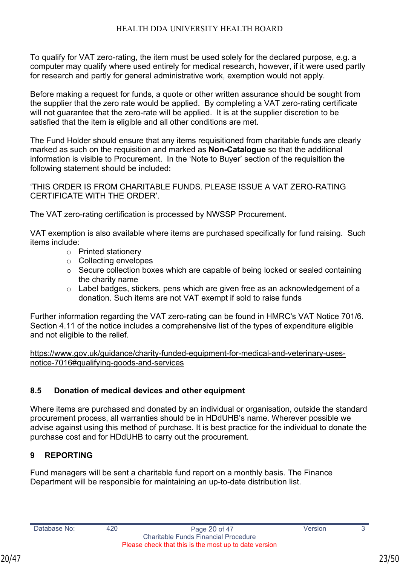To qualify for VAT zero-rating, the item must be used solely for the declared purpose, e.g. a computer may qualify where used entirely for medical research, however, if it were used partly for research and partly for general administrative work, exemption would not apply.

Before making a request for funds, a quote or other written assurance should be sought from the supplier that the zero rate would be applied. By completing a VAT zero-rating certificate will not guarantee that the zero-rate will be applied. It is at the supplier discretion to be satisfied that the item is eligible and all other conditions are met.

The Fund Holder should ensure that any items requisitioned from charitable funds are clearly marked as such on the requisition and marked as **Non-Catalogue** so that the additional information is visible to Procurement. In the 'Note to Buyer' section of the requisition the following statement should be included:

'THIS ORDER IS FROM CHARITABLE FUNDS. PLEASE ISSUE A VAT ZERO-RATING CERTIFICATE WITH THE ORDER'.

The VAT zero-rating certification is processed by NWSSP Procurement.

VAT exemption is also available where items are purchased specifically for fund raising. Such items include:

- o Printed stationery
- o Collecting envelopes
- o Secure collection boxes which are capable of being locked or sealed containing the charity name
- o Label badges, stickers, pens which are given free as an acknowledgement of a donation. Such items are not VAT exempt if sold to raise funds

Further information regarding the VAT zero-rating can be found in HMRC's VAT Notice 701/6. Section 4.11 of the notice includes a comprehensive list of the types of expenditure eligible and not eligible to the relief.

[https://www.gov.uk/guidance/charity-funded-equipment-for-medical-and-veterinary-uses](https://www.gov.uk/guidance/charity-funded-equipment-for-medical-and-veterinary-uses-notice-7016#qualifying-goods-and-services)[notice-7016#qualifying-goods-and-services](https://www.gov.uk/guidance/charity-funded-equipment-for-medical-and-veterinary-uses-notice-7016#qualifying-goods-and-services)

## **8.5 Donation of medical devices and other equipment**

Where items are purchased and donated by an individual or organisation, outside the standard procurement process, all warranties should be in HDdUHB's name. Wherever possible we advise against using this method of purchase. It is best practice for the individual to donate the purchase cost and for HDdUHB to carry out the procurement.

## **9 REPORTING**

Fund managers will be sent a charitable fund report on a monthly basis. The Finance Department will be responsible for maintaining an up-to-date distribution list.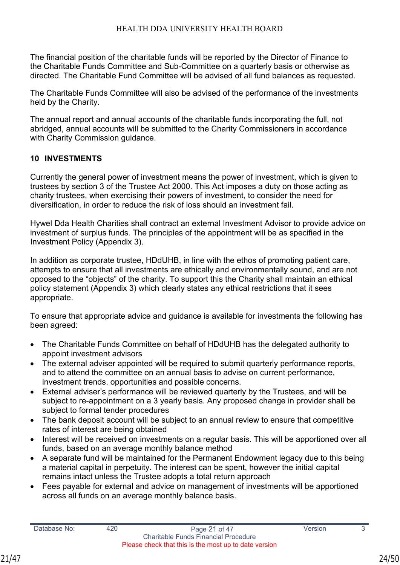The financial position of the charitable funds will be reported by the Director of Finance to the Charitable Funds Committee and Sub-Committee on a quarterly basis or otherwise as directed. The Charitable Fund Committee will be advised of all fund balances as requested.

The Charitable Funds Committee will also be advised of the performance of the investments held by the Charity.

The annual report and annual accounts of the charitable funds incorporating the full, not abridged, annual accounts will be submitted to the Charity Commissioners in accordance with Charity Commission guidance.

## <span id="page-23-0"></span>**10 INVESTMENTS**

Currently the general power of investment means the power of investment, which is given to trustees by section 3 of the Trustee Act 2000. This Act imposes a duty on those acting as charity trustees, when exercising their powers of investment, to consider the need for diversification, in order to reduce the risk of loss should an investment fail.

Hywel Dda Health Charities shall contract an external Investment Advisor to provide advice on investment of surplus funds. The principles of the appointment will be as specified in the Investment Policy (Appendix 3).

In addition as corporate trustee, HDdUHB, in line with the ethos of promoting patient care, attempts to ensure that all investments are ethically and environmentally sound, and are not opposed to the "objects" of the charity. To support this the Charity shall maintain an ethical policy statement (Appendix 3) which clearly states any ethical restrictions that it sees appropriate.

To ensure that appropriate advice and guidance is available for investments the following has been agreed:

- The Charitable Funds Committee on behalf of HDdUHB has the delegated authority to appoint investment advisors
- The external adviser appointed will be required to submit quarterly performance reports, and to attend the committee on an annual basis to advise on current performance, investment trends, opportunities and possible concerns.
- External adviser's performance will be reviewed quarterly by the Trustees, and will be subject to re-appointment on a 3 yearly basis. Any proposed change in provider shall be subject to formal tender procedures
- The bank deposit account will be subject to an annual review to ensure that competitive rates of interest are being obtained
- Interest will be received on investments on a regular basis. This will be apportioned over all funds, based on an average monthly balance method
- A separate fund will be maintained for the Permanent Endowment legacy due to this being a material capital in perpetuity. The interest can be spent, however the initial capital remains intact unless the Trustee adopts a total return approach
- Fees payable for external and advice on management of investments will be apportioned across all funds on an average monthly balance basis.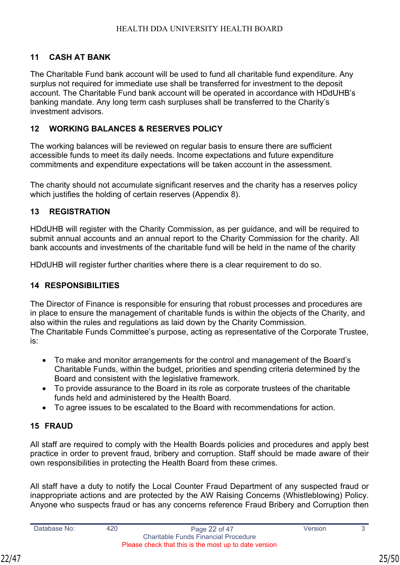## **11 CASH AT BANK**

The Charitable Fund bank account will be used to fund all charitable fund expenditure. Any surplus not required for immediate use shall be transferred for investment to the deposit account. The Charitable Fund bank account will be operated in accordance with HDdUHB's banking mandate. Any long term cash surpluses shall be transferred to the Charity's investment advisors.

## **12 WORKING BALANCES & RESERVES POLICY**

The working balances will be reviewed on regular basis to ensure there are sufficient accessible funds to meet its daily needs. Income expectations and future expenditure commitments and expenditure expectations will be taken account in the assessment.

The charity should not accumulate significant reserves and the charity has a reserves policy which justifies the holding of certain reserves (Appendix 8).

#### **13 REGISTRATION**

HDdUHB will register with the Charity Commission, as per guidance, and will be required to submit annual accounts and an annual report to the Charity Commission for the charity. All bank accounts and investments of the charitable fund will be held in the name of the charity

HDdUHB will register further charities where there is a clear requirement to do so.

## **14 RESPONSIBILITIES**

The Director of Finance is responsible for ensuring that robust processes and procedures are in place to ensure the management of charitable funds is within the objects of the Charity, and also within the rules and regulations as laid down by the Charity Commission. The Charitable Funds Committee's purpose, acting as representative of the Corporate Trustee, is:

- To make and monitor arrangements for the control and management of the Board's Charitable Funds, within the budget, priorities and spending criteria determined by the Board and consistent with the legislative framework.
- To provide assurance to the Board in its role as corporate trustees of the charitable funds held and administered by the Health Board.
- To agree issues to be escalated to the Board with recommendations for action.

## **15 FRAUD**

All staff are required to comply with the Health Boards policies and procedures and apply best practice in order to prevent fraud, bribery and corruption. Staff should be made aware of their own responsibilities in protecting the Health Board from these crimes.

All staff have a duty to notify the Local Counter Fraud Department of any suspected fraud or inappropriate actions and are protected by the AW Raising Concerns (Whistleblowing) Policy. Anyone who suspects fraud or has any concerns reference Fraud Bribery and Corruption then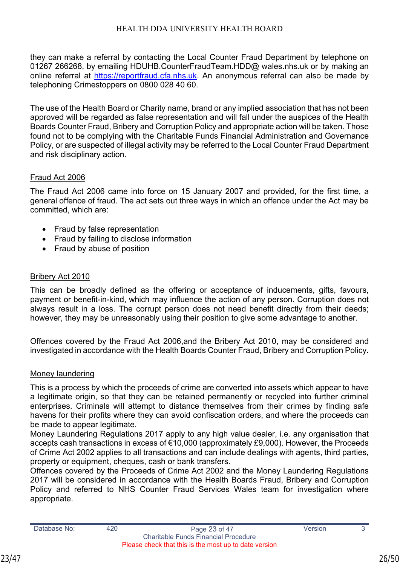they can make a referral by contacting the Local Counter Fraud Department by telephone on 01267 266268, by emailing HDUHB.CounterFraudTeam.HDD@ wales.nhs.uk or by making an online referral at [https://reportfraud.cfa.nhs.uk.](https://reportfraud.cfa.nhs.uk/) An anonymous referral can also be made by telephoning Crimestoppers on 0800 028 40 60.

The use of the Health Board or Charity name, brand or any implied association that has not been approved will be regarded as false representation and will fall under the auspices of the Health Boards Counter Fraud, Bribery and Corruption Policy and appropriate action will be taken. Those found not to be complying with the Charitable Funds Financial Administration and Governance Policy, or are suspected of illegal activity may be referred to the Local Counter Fraud Department and risk disciplinary action.

#### Fraud Act 2006

The Fraud Act 2006 came into force on 15 January 2007 and provided, for the first time, a general offence of fraud. The act sets out three ways in which an offence under the Act may be committed, which are:

- Fraud by false representation
- Fraud by failing to disclose information
- Fraud by abuse of position

## Bribery Act 2010

This can be broadly defined as the offering or acceptance of inducements, gifts, favours, payment or benefit-in-kind, which may influence the action of any person. Corruption does not always result in a loss. The corrupt person does not need benefit directly from their deeds; however, they may be unreasonably using their position to give some advantage to another.

Offences covered by the Fraud Act 2006,and the Bribery Act 2010, may be considered and investigated in accordance with the Health Boards Counter Fraud, Bribery and Corruption Policy.

#### Money laundering

This is a process by which the proceeds of crime are converted into assets which appear to have a legitimate origin, so that they can be retained permanently or recycled into further criminal enterprises. Criminals will attempt to distance themselves from their crimes by finding safe havens for their profits where they can avoid confiscation orders, and where the proceeds can be made to appear legitimate.

Money Laundering Regulations 2017 apply to any high value dealer, i.e. any organisation that accepts cash transactions in excess of €10,000 (approximately £9,000). However, the Proceeds of Crime Act 2002 applies to all transactions and can include dealings with agents, third parties, property or equipment, cheques, cash or bank transfers.

Offences covered by the Proceeds of Crime Act 2002 and the Money Laundering Regulations 2017 will be considered in accordance with the Health Boards Fraud, Bribery and Corruption Policy and referred to NHS Counter Fraud Services Wales team for investigation where appropriate.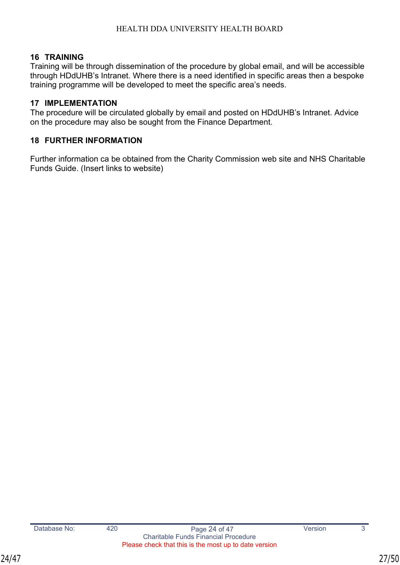## <span id="page-26-0"></span>**16 TRAINING**

Training will be through dissemination of the procedure by global email, and will be accessible through HDdUHB's Intranet. Where there is a need identified in specific areas then a bespoke training programme will be developed to meet the specific area's needs.

#### <span id="page-26-1"></span>**17 IMPLEMENTATION**

The procedure will be circulated globally by email and posted on HDdUHB's Intranet. Advice on the procedure may also be sought from the Finance Department.

## <span id="page-26-2"></span>**18 FURTHER INFORMATION**

Further information ca be obtained from the Charity Commission web site and NHS Charitable Funds Guide. (Insert links to website)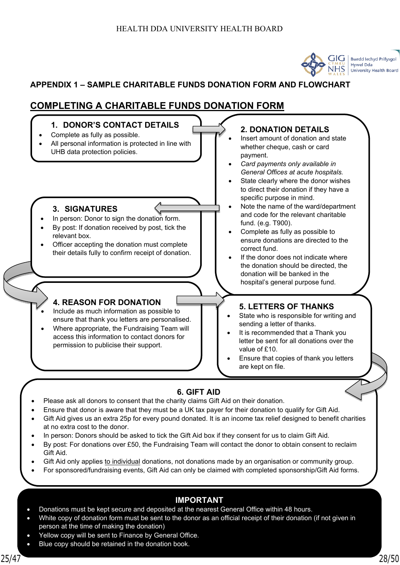

## <span id="page-27-0"></span>**APPENDIX 1 – SAMPLE CHARITABLE FUNDS DONATION FORM AND FLOWCHART**

## **COMPLETING A CHARITABLE FUNDS DONATION FORM**



- Ensure that donor is aware that they must be a UK tax payer for their donation to qualify for Gift Aid.
	- Gift Aid gives us an extra 25p for every pound donated. It is an income tax relief designed to benefit charities at no extra cost to the donor.
- In person: Donors should be asked to tick the Gift Aid box if they consent for us to claim Gift Aid.
- By post: For donations over £50, the Fundraising Team will contact the donor to obtain consent to reclaim Gift Aid.
- Gift Aid only applies to individual donations, not donations made by an organisation or community group.
- For sponsored/fundraising events, Gift Aid can only be claimed with completed sponsorship/Gift Aid forms.

#### **IMPORTANT**

- Donations must be kept secure and deposited at the nearest General Office within 48 hours.
- person at the time of making the donation) example 25 or 47 Years 25 or 47 Years 20 and 25 or 47 Years 20 and 20 • White copy of donation form must be sent to the donor as an official receipt of their donation (if not given in
- Yellow copy will be sent to Finance by General Office.
- Blue copy should be retained in the donation book.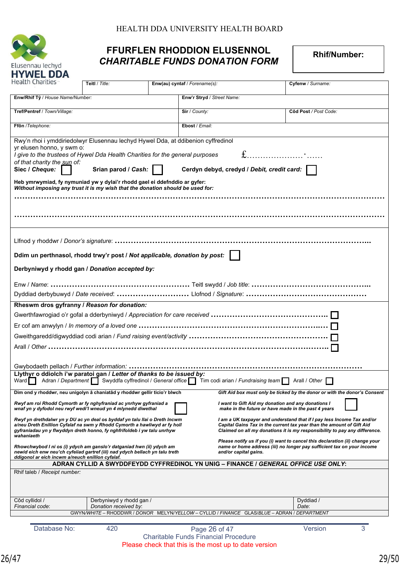

## **FFURFLEN RHODDION ELUSENNOL FEURFLEN RHODDION ELUSENNOL** *CHARITABLE FUNDS DONATION FORM*

| Health Charities                                                                                                                                                                                                                                 | Teitl / Title:                                                                                                                                                                                                                                                                                                                                                                                                                                                           | Enw(au) cyntaf / Forename(s):                         |                            | Cyfenw / Surname:                                                                                                                                                                                                             |  |  |
|--------------------------------------------------------------------------------------------------------------------------------------------------------------------------------------------------------------------------------------------------|--------------------------------------------------------------------------------------------------------------------------------------------------------------------------------------------------------------------------------------------------------------------------------------------------------------------------------------------------------------------------------------------------------------------------------------------------------------------------|-------------------------------------------------------|----------------------------|-------------------------------------------------------------------------------------------------------------------------------------------------------------------------------------------------------------------------------|--|--|
| Enw/Rhif Tŷ / House Name/Number:                                                                                                                                                                                                                 |                                                                                                                                                                                                                                                                                                                                                                                                                                                                          |                                                       | Enw'r Stryd / Street Name: |                                                                                                                                                                                                                               |  |  |
| Tref/Pentref / Town/Village:                                                                                                                                                                                                                     |                                                                                                                                                                                                                                                                                                                                                                                                                                                                          | Sir / County:                                         |                            | Côd Post / Post Code:                                                                                                                                                                                                         |  |  |
| Ffôn /Telephone:                                                                                                                                                                                                                                 |                                                                                                                                                                                                                                                                                                                                                                                                                                                                          |                                                       | Ebost / Email:             |                                                                                                                                                                                                                               |  |  |
| Siec / Cheque:                                                                                                                                                                                                                                   | Rwy'n rhoi i ymddiriedolwyr Elusennau lechyd Hywel Dda, at ddibenion cyffredinol<br>yr elusen honno, y swm o:<br>$f$<br>I give to the trustees of Hywel Dda Health Charities for the general purposes<br>of that charity the sun of:<br>Cerdyn debyd, credyd / Debit, credit card:<br>Srian parod / Cash:<br>Heb ymrwymiad, fy nymuniad yw y dylai'r rhodd gael ei ddefnddio ar gyfer:<br>Without imposing any trust it is my wish that the donation should be used for: |                                                       |                            |                                                                                                                                                                                                                               |  |  |
| Ddim un perthnasol, rhodd trwy'r post / Not applicable, donation by post:                                                                                                                                                                        |                                                                                                                                                                                                                                                                                                                                                                                                                                                                          |                                                       |                            |                                                                                                                                                                                                                               |  |  |
| Derbyniwyd y rhodd gan / Donation accepted by:                                                                                                                                                                                                   |                                                                                                                                                                                                                                                                                                                                                                                                                                                                          |                                                       |                            |                                                                                                                                                                                                                               |  |  |
|                                                                                                                                                                                                                                                  |                                                                                                                                                                                                                                                                                                                                                                                                                                                                          |                                                       |                            |                                                                                                                                                                                                                               |  |  |
| Rheswm dros gyfranny / Reason for donation:                                                                                                                                                                                                      |                                                                                                                                                                                                                                                                                                                                                                                                                                                                          |                                                       |                            |                                                                                                                                                                                                                               |  |  |
|                                                                                                                                                                                                                                                  |                                                                                                                                                                                                                                                                                                                                                                                                                                                                          |                                                       |                            |                                                                                                                                                                                                                               |  |  |
|                                                                                                                                                                                                                                                  |                                                                                                                                                                                                                                                                                                                                                                                                                                                                          |                                                       |                            |                                                                                                                                                                                                                               |  |  |
|                                                                                                                                                                                                                                                  |                                                                                                                                                                                                                                                                                                                                                                                                                                                                          |                                                       |                            |                                                                                                                                                                                                                               |  |  |
|                                                                                                                                                                                                                                                  |                                                                                                                                                                                                                                                                                                                                                                                                                                                                          |                                                       |                            |                                                                                                                                                                                                                               |  |  |
| Llythyr o ddiolch i'w paratoi gan / Letter of thanks to be issued by:<br>Ward                                                                                                                                                                    |                                                                                                                                                                                                                                                                                                                                                                                                                                                                          |                                                       |                            | Adran / Department \ Swyddfa cyffredinol / General office \ Tim codi arian / Fundraising team \ Arall / Other                                                                                                                 |  |  |
| Dim ond y rhoddwr, neu unigolyn â chaniatâd y rhoddwr gellir ticio'r blwch                                                                                                                                                                       |                                                                                                                                                                                                                                                                                                                                                                                                                                                                          |                                                       |                            | Gift Aid box must only be ticked by the donor or with the donor's Consent                                                                                                                                                     |  |  |
| Rwyf am roi Rhodd Cymorth ar fy nghyfraniad ac ynrhyw gyfraniad a<br>wnaf yn y dyfodol neu rwyf wedi'l wneud yn 4 mlynedd diwethal                                                                                                               |                                                                                                                                                                                                                                                                                                                                                                                                                                                                          |                                                       |                            | I want to Gift Aid my donation and any donations I<br>make in the future or have made in the past 4 years                                                                                                                     |  |  |
| Rwyf yn drethdalwr yn y DU ac yn deal os byddaf yn talu llai o Dreth Incwm<br>a/neu Dreth Enillion Cyfalaf na swm y Rhodd Cymorth a hawliwyd ar fy holl<br>gyfraniadau yn y flwyddyn dreth honno, fy nghfrifoldeb i yw talu unrhyw<br>wahaniaeth |                                                                                                                                                                                                                                                                                                                                                                                                                                                                          |                                                       |                            | I am a UK taxpayer and understand that if I pay less Income Tax and/or<br>Capital Gains Tax in the current tax year than the amount of Gift Aid<br>Claimed on all my donations it is my responsibility to pay any difference. |  |  |
| Rhowchwybod I ni os (i) ydych am ganslo'r datganiad hwn (ii) ydych am<br>newid eich enw neu'ch cyfeiiad gartref (iii) nad ydych bellach yn talu treth<br>ddigonol ar eich incwm a/neuch enillion cyfalaf.                                        |                                                                                                                                                                                                                                                                                                                                                                                                                                                                          |                                                       | and/or capital gains.      | Please notify us if you (i) want to cancel this declaration (ii) change your<br>name or home address (iii) no longer pay sufficient tax on your income                                                                        |  |  |
|                                                                                                                                                                                                                                                  |                                                                                                                                                                                                                                                                                                                                                                                                                                                                          |                                                       |                            | ADRAN CYLLID A SWYDDFEYDD CYFFREDINOL YN UNIG - FINANCE / GENERAL OFFICE USE ONLY:                                                                                                                                            |  |  |
|                                                                                                                                                                                                                                                  | Rhif taleb / Receipt number:                                                                                                                                                                                                                                                                                                                                                                                                                                             |                                                       |                            |                                                                                                                                                                                                                               |  |  |
| Côd cyllidol /<br>Financial code:                                                                                                                                                                                                                | Derbyniwyd y rhodd gan /<br>Dyddiad /<br>Donation received by:<br>Date:                                                                                                                                                                                                                                                                                                                                                                                                  |                                                       |                            |                                                                                                                                                                                                                               |  |  |
|                                                                                                                                                                                                                                                  |                                                                                                                                                                                                                                                                                                                                                                                                                                                                          |                                                       |                            | GWYN/WHITE - RHODDWR / DONOR MELYN/YELLOW - CYLLID / FINANCE GLAS/BLUE - ADRAN / DEPARTMENT                                                                                                                                   |  |  |
| Database No:                                                                                                                                                                                                                                     | 420                                                                                                                                                                                                                                                                                                                                                                                                                                                                      |                                                       | Page 26 of 47              | Version<br>3                                                                                                                                                                                                                  |  |  |
|                                                                                                                                                                                                                                                  |                                                                                                                                                                                                                                                                                                                                                                                                                                                                          | <b>Charitable Funds Financial Procedure</b>           |                            |                                                                                                                                                                                                                               |  |  |
|                                                                                                                                                                                                                                                  |                                                                                                                                                                                                                                                                                                                                                                                                                                                                          | Please check that this is the most up to date version |                            |                                                                                                                                                                                                                               |  |  |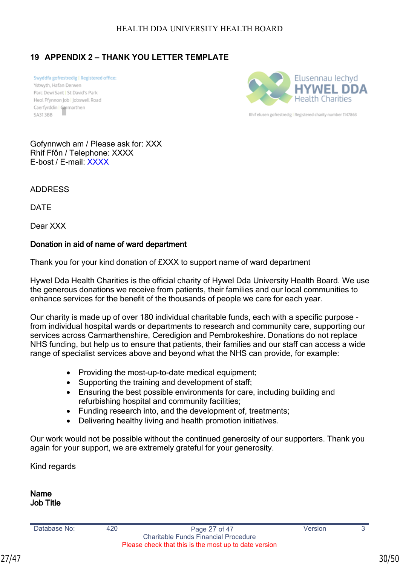## <span id="page-29-0"></span>**19 APPENDIX 2 – THANK YOU LETTER TEMPLATE**

Swyddfa gofrestredig | Registered office: Ystwyth, Hafan Derwen Parc Dewi Sant | St David's Park Heol Ffynnon Job | Jobswell Road Caerfyrddin | Carmarthen SA313BB



Rhif elusen gofrestredig I Registered charity number 1147863

Gofynnwch am / Please ask for: XXX Rhif Ffôn / Telephone: XXXX E-bost / E-mail: [XXXX](mailto:diane.henry@wales.nhs.uk)

ADDRESS

DATE

Dear XXX

#### **Donation in aid of name of ward department**

Thank you for your kind donation of £XXX to support name of ward department

Hywel Dda Health Charities is the official charity of Hywel Dda University Health Board. We use the generous donations we receive from patients, their families and our local communities to enhance services for the benefit of the thousands of people we care for each year.

Our charity is made up of over 180 individual charitable funds, each with a specific purpose from individual hospital wards or departments to research and community care, supporting our services across Carmarthenshire, Ceredigion and Pembrokeshire. Donations do not replace NHS funding, but help us to ensure that patients, their families and our staff can access a wide range of specialist services above and beyond what the NHS can provide, for example:

- Providing the most-up-to-date medical equipment;
- Supporting the training and development of staff;
- Ensuring the best possible environments for care, including building and refurbishing hospital and community facilities;
- Funding research into, and the development of, treatments;
- Delivering healthy living and health promotion initiatives.

Our work would not be possible without the continued generosity of our supporters. Thank you again for your support, we are extremely grateful for your generosity.

Kind regards

**Name Job Title**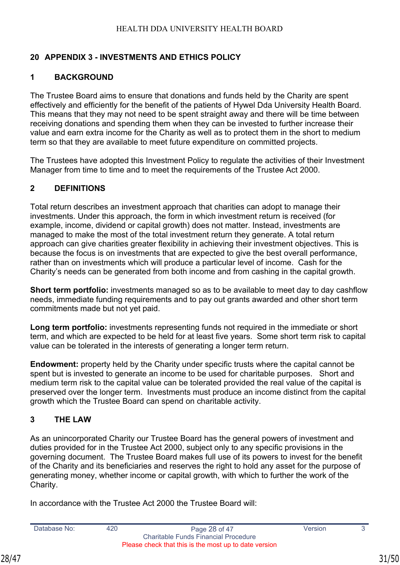## <span id="page-30-0"></span>**20 APPENDIX 3 - INVESTMENTS AND ETHICS POLICY**

## **1 BACKGROUND**

The Trustee Board aims to ensure that donations and funds held by the Charity are spent effectively and efficiently for the benefit of the patients of Hywel Dda University Health Board. This means that they may not need to be spent straight away and there will be time between receiving donations and spending them when they can be invested to further increase their value and earn extra income for the Charity as well as to protect them in the short to medium term so that they are available to meet future expenditure on committed projects.

The Trustees have adopted this Investment Policy to regulate the activities of their Investment Manager from time to time and to meet the requirements of the Trustee Act 2000.

## **2 DEFINITIONS**

Total return describes an investment approach that charities can adopt to manage their investments. Under this approach, the form in which investment return is received (for example, income, dividend or capital growth) does not matter. Instead, investments are managed to make the most of the total investment return they generate. A total return approach can give charities greater flexibility in achieving their investment objectives. This is because the focus is on investments that are expected to give the best overall performance, rather than on investments which will produce a particular level of income. Cash for the Charity's needs can be generated from both income and from cashing in the capital growth.

**Short term portfolio:** investments managed so as to be available to meet day to day cashflow needs, immediate funding requirements and to pay out grants awarded and other short term commitments made but not yet paid.

**Long term portfolio:** investments representing funds not required in the immediate or short term, and which are expected to be held for at least five years. Some short term risk to capital value can be tolerated in the interests of generating a longer term return.

**Endowment:** property held by the Charity under specific trusts where the capital cannot be spent but is invested to generate an income to be used for charitable purposes. Short and medium term risk to the capital value can be tolerated provided the real value of the capital is preserved over the longer term. Investments must produce an income distinct from the capital growth which the Trustee Board can spend on charitable activity.

## **3 THE LAW**

As an unincorporated Charity our Trustee Board has the general powers of investment and duties provided for in the Trustee Act 2000, subject only to any specific provisions in the governing document. The Trustee Board makes full use of its powers to invest for the benefit of the Charity and its beneficiaries and reserves the right to hold any asset for the purpose of generating money, whether income or capital growth, with which to further the work of the Charity.

In accordance with the Trustee Act 2000 the Trustee Board will: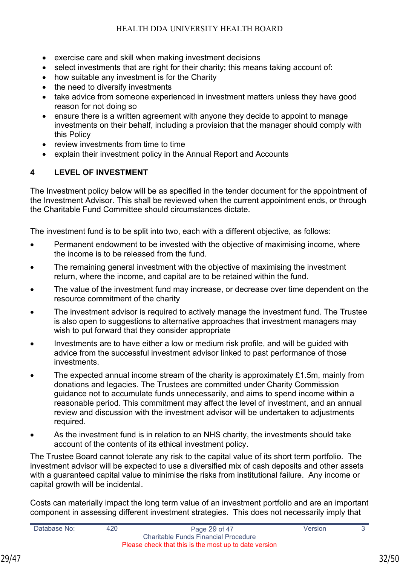- exercise care and skill when making investment decisions
- select investments that are right for their charity; this means taking account of:
- how suitable any investment is for the Charity
- the need to diversify investments
- take advice from someone experienced in investment matters unless they have good reason for not doing so
- ensure there is a written agreement with anyone they decide to appoint to manage investments on their behalf, including a provision that the manager should comply with this Policy
- review investments from time to time
- explain their investment policy in the Annual Report and Accounts

## **4 LEVEL OF INVESTMENT**

The Investment policy below will be as specified in the tender document for the appointment of the Investment Advisor. This shall be reviewed when the current appointment ends, or through the Charitable Fund Committee should circumstances dictate.

The investment fund is to be split into two, each with a different objective, as follows:

- Permanent endowment to be invested with the objective of maximising income, where the income is to be released from the fund.
- The remaining general investment with the objective of maximising the investment return, where the income, and capital are to be retained within the fund.
- The value of the investment fund may increase, or decrease over time dependent on the resource commitment of the charity
- The investment advisor is required to actively manage the investment fund. The Trustee is also open to suggestions to alternative approaches that investment managers may wish to put forward that they consider appropriate
- Investments are to have either a low or medium risk profile, and will be guided with advice from the successful investment advisor linked to past performance of those investments.
- The expected annual income stream of the charity is approximately  $£1.5m$ , mainly from donations and legacies. The Trustees are committed under Charity Commission guidance not to accumulate funds unnecessarily, and aims to spend income within a reasonable period. This commitment may affect the level of investment, and an annual review and discussion with the investment advisor will be undertaken to adjustments required.
- As the investment fund is in relation to an NHS charity, the investments should take account of the contents of its ethical investment policy.

The Trustee Board cannot tolerate any risk to the capital value of its short term portfolio. The investment advisor will be expected to use a diversified mix of cash deposits and other assets with a guaranteed capital value to minimise the risks from institutional failure. Any income or capital growth will be incidental.

Costs can materially impact the long term value of an investment portfolio and are an important component in assessing different investment strategies. This does not necessarily imply that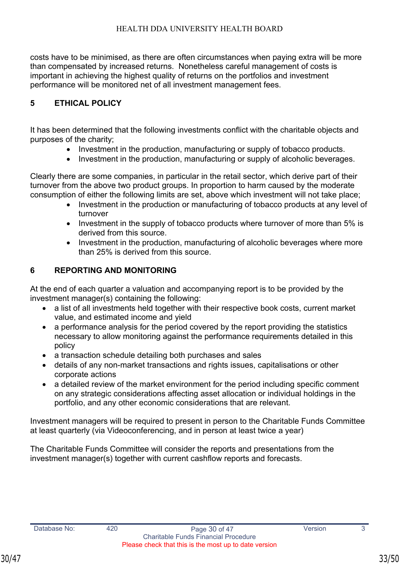costs have to be minimised, as there are often circumstances when paying extra will be more than compensated by increased returns. Nonetheless careful management of costs is important in achieving the highest quality of returns on the portfolios and investment performance will be monitored net of all investment management fees.

## **5 ETHICAL POLICY**

It has been determined that the following investments conflict with the charitable objects and purposes of the charity;

- Investment in the production, manufacturing or supply of tobacco products.
- Investment in the production, manufacturing or supply of alcoholic beverages.

Clearly there are some companies, in particular in the retail sector, which derive part of their turnover from the above two product groups. In proportion to harm caused by the moderate consumption of either the following limits are set, above which investment will not take place;

- Investment in the production or manufacturing of tobacco products at any level of turnover
- Investment in the supply of tobacco products where turnover of more than 5% is derived from this source.
- Investment in the production, manufacturing of alcoholic beverages where more than 25% is derived from this source.

## **6 REPORTING AND MONITORING**

At the end of each quarter a valuation and accompanying report is to be provided by the investment manager(s) containing the following:

- a list of all investments held together with their respective book costs, current market value, and estimated income and yield
- a performance analysis for the period covered by the report providing the statistics necessary to allow monitoring against the performance requirements detailed in this policy
- a transaction schedule detailing both purchases and sales
- details of any non-market transactions and rights issues, capitalisations or other corporate actions
- a detailed review of the market environment for the period including specific comment on any strategic considerations affecting asset allocation or individual holdings in the portfolio, and any other economic considerations that are relevant.

Investment managers will be required to present in person to the Charitable Funds Committee at least quarterly (via Videoconferencing, and in person at least twice a year)

The Charitable Funds Committee will consider the reports and presentations from the investment manager(s) together with current cashflow reports and forecasts.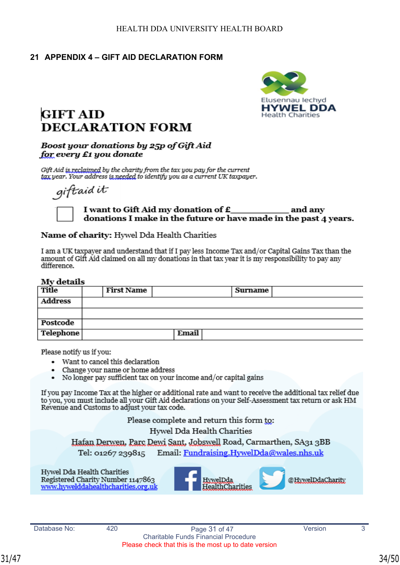## **21 APPENDIX 4 – GIFT AID DECLARATION FORM**



## **GIFT AID DECLARATION FORM**

#### Boost your donations by 25p of Gift Aid for every £1 you donate

Gift Aid is reclaimed by the charity from the tax you pay for the current tax year. Your address is needed to identify you as a current UK taxpayer.

giftaid it

#### I want to Gift Aid my donation of £ and any donations I make in the future or have made in the past 4 years.

#### Name of charity: Hywel Dda Health Charities

I am a UK taxpayer and understand that if I pay less Income Tax and/or Capital Gains Tax than the amount of Gift Aid claimed on all my donations in that tax year it is my responsibility to pay any difference.

#### My details

| $\cdots$ . $\cdots$ . $\cdots$ |                   |       |         |  |  |
|--------------------------------|-------------------|-------|---------|--|--|
| Title                          | <b>First Name</b> |       | Surname |  |  |
| <b>Address</b>                 |                   |       |         |  |  |
|                                |                   |       |         |  |  |
| Postcode                       |                   |       |         |  |  |
| <b>Telephone</b>               |                   | Email |         |  |  |

Please notify us if you:

- Want to cancel this declaration
- Change your name or home address
- No longer pay sufficient tax on your income and/or capital gains  $\bullet$

If you pay Income Tax at the higher or additional rate and want to receive the additional tax relief due to you, you must include all your Gift Aid declarations on your Self-Assessment tax return or ask HM Revenue and Customs to adjust your tax code.

Please complete and return this form to:

Hywel Dda Health Charities

Hafan Derwen, Parc Dewi Sant, Jobswell Road, Carmarthen, SA31 3BB

Email: Fundraising.HywelDda@wales.nhs.uk Tel: 01267 239815

Hywel Dda Health Charities Registered Charity Number 1147863 www.hywelddahealthcharities.org.uk

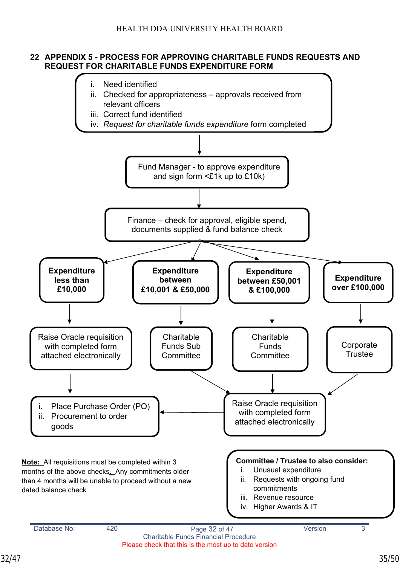#### **22 APPENDIX 5 - PROCESS FOR APPROVING CHARITABLE FUNDS REQUESTS AND REQUEST FOR CHARITABLE FUNDS EXPENDITURE FORM**

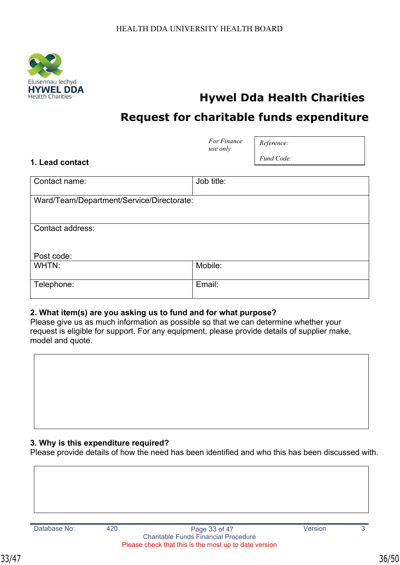

## **Hywel Dda Health Charities**

## **Request for charitable funds expenditure**

|                                           | For Finance<br>use only | Reference: |
|-------------------------------------------|-------------------------|------------|
| 1. Lead contact                           |                         | Fund Code: |
| Contact name:                             | Job title:              |            |
| Ward/Team/Department/Service/Directorate: |                         |            |
| Contact address:                          |                         |            |
| Post code:                                |                         |            |
| WHTN:                                     | Mobile:                 |            |
| Telephone:                                | Email:                  |            |

#### **2. What item(s) are you asking us to fund and for what purpose?**

Please give us as much information as possible so that we can determine whether your request is eligible for support. For any equipment, please provide details of supplier make, model and quote.



Please provide details of how the need has been identified and who this has been discussed with.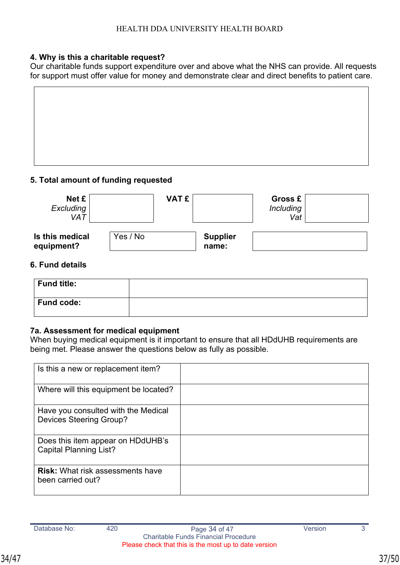#### **4. Why is this a charitable request?**

Our charitable funds support expenditure over and above what the NHS can provide. All requests for support must offer value for money and demonstrate clear and direct benefits to patient care.

#### **5. Total amount of funding requested**

| Net £<br>Excluding<br><b>VAT</b> |          | <b>VAT £</b> |                          | <b>Gross £</b><br><b>Including</b><br>Vat |  |
|----------------------------------|----------|--------------|--------------------------|-------------------------------------------|--|
| Is this medical<br>equipment?    | Yes / No |              | <b>Supplier</b><br>name: |                                           |  |

#### **6. Fund details**

| Fund title: |  |
|-------------|--|
| Fund code:  |  |

#### **7a. Assessment for medical equipment**

When buying medical equipment is it important to ensure that all HDdUHB requirements are being met. Please answer the questions below as fully as possible.

| Is this a new or replacement item?                                    |  |
|-----------------------------------------------------------------------|--|
| Where will this equipment be located?                                 |  |
| Have you consulted with the Medical<br><b>Devices Steering Group?</b> |  |
| Does this item appear on HDdUHB's<br><b>Capital Planning List?</b>    |  |
| <b>Risk:</b> What risk assessments have<br>been carried out?          |  |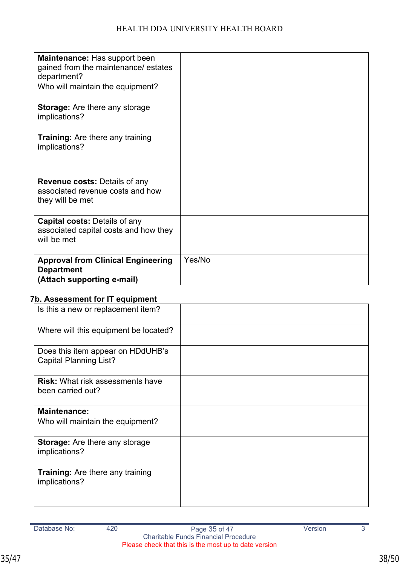| <b>Maintenance:</b> Has support been<br>gained from the maintenance/ estates<br>department?<br>Who will maintain the equipment? |        |
|---------------------------------------------------------------------------------------------------------------------------------|--------|
| <b>Storage:</b> Are there any storage<br>implications?                                                                          |        |
| <b>Training:</b> Are there any training<br>implications?                                                                        |        |
| <b>Revenue costs: Details of any</b><br>associated revenue costs and how<br>they will be met                                    |        |
| <b>Capital costs: Details of any</b><br>associated capital costs and how they<br>will be met                                    |        |
| <b>Approval from Clinical Engineering</b><br><b>Department</b><br>(Attach supporting e-mail)                                    | Yes/No |

## **7b. Assessment for IT equipment**

| Is this a new or replacement item?                                 |  |
|--------------------------------------------------------------------|--|
| Where will this equipment be located?                              |  |
| Does this item appear on HDdUHB's<br><b>Capital Planning List?</b> |  |
| <b>Risk:</b> What risk assessments have<br>been carried out?       |  |
| <b>Maintenance:</b><br>Who will maintain the equipment?            |  |
| <b>Storage:</b> Are there any storage<br>implications?             |  |
| <b>Training:</b> Are there any training<br>implications?           |  |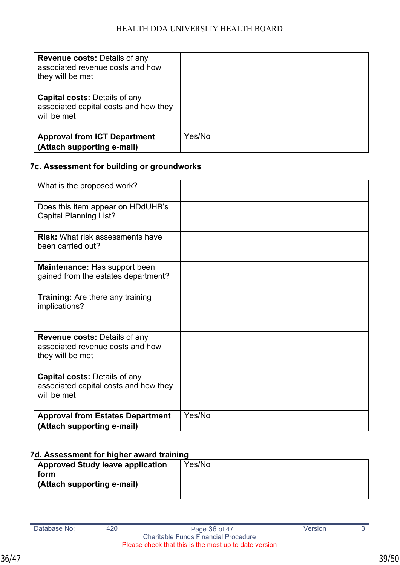| <b>Revenue costs: Details of any</b><br>associated revenue costs and how<br>they will be met |        |
|----------------------------------------------------------------------------------------------|--------|
| <b>Capital costs: Details of any</b><br>associated capital costs and how they<br>will be met |        |
| <b>Approval from ICT Department</b>                                                          | Yes/No |
| (Attach supporting e-mail)                                                                   |        |

## **7c. Assessment for building or groundworks**

| What is the proposed work?                                                                   |        |
|----------------------------------------------------------------------------------------------|--------|
| Does this item appear on HDdUHB's<br><b>Capital Planning List?</b>                           |        |
| <b>Risk:</b> What risk assessments have<br>been carried out?                                 |        |
| Maintenance: Has support been<br>gained from the estates department?                         |        |
| <b>Training:</b> Are there any training<br>implications?                                     |        |
| <b>Revenue costs: Details of any</b><br>associated revenue costs and how<br>they will be met |        |
| <b>Capital costs: Details of any</b><br>associated capital costs and how they<br>will be met |        |
| <b>Approval from Estates Department</b><br>(Attach supporting e-mail)                        | Yes/No |

## **7d. Assessment for higher award training**

| <b>Approved Study leave application</b> | Yes/No |
|-----------------------------------------|--------|
| form                                    |        |
| (Attach supporting e-mail)              |        |
|                                         |        |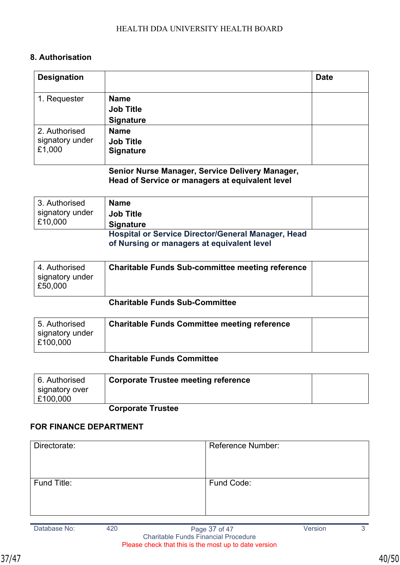## **8. Authorisation**

| <b>Designation</b>                           |                                                                                                         | <b>Date</b> |
|----------------------------------------------|---------------------------------------------------------------------------------------------------------|-------------|
| 1. Requester                                 | <b>Name</b><br><b>Job Title</b><br><b>Signature</b>                                                     |             |
| 2. Authorised<br>signatory under<br>£1,000   | <b>Name</b><br><b>Job Title</b><br><b>Signature</b>                                                     |             |
|                                              | Senior Nurse Manager, Service Delivery Manager,<br>Head of Service or managers at equivalent level      |             |
| 3. Authorised<br>signatory under<br>£10,000  | <b>Name</b><br><b>Job Title</b><br><b>Signature</b>                                                     |             |
|                                              | <b>Hospital or Service Director/General Manager, Head</b><br>of Nursing or managers at equivalent level |             |
| 4. Authorised<br>signatory under<br>£50,000  | <b>Charitable Funds Sub-committee meeting reference</b>                                                 |             |
|                                              | <b>Charitable Funds Sub-Committee</b>                                                                   |             |
| 5. Authorised<br>signatory under<br>£100,000 | <b>Charitable Funds Committee meeting reference</b>                                                     |             |

## **Charitable Funds Committee**

| 6. Authorised                        | <b>Corporate Trustee meeting reference</b> |  |
|--------------------------------------|--------------------------------------------|--|
| ∣ signatory over<br>$\vert$ £100,000 |                                            |  |

## **Corporate Trustee**

## **FOR FINANCE DEPARTMENT**

| Directorate: | <b>Reference Number:</b> |
|--------------|--------------------------|
| Fund Title:  | Fund Code:               |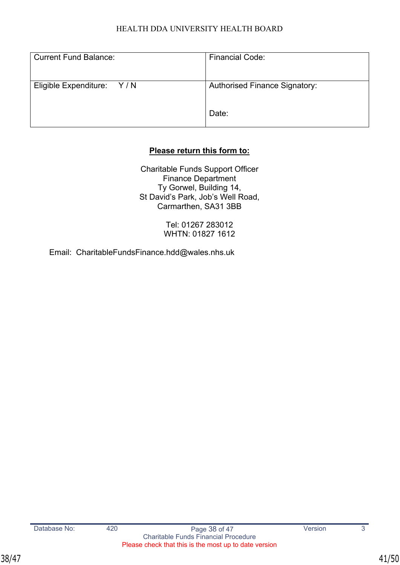| <b>Current Fund Balance:</b> | <b>Financial Code:</b>               |
|------------------------------|--------------------------------------|
| Eligible Expenditure: Y/N    | <b>Authorised Finance Signatory:</b> |
|                              | Date:                                |

## **Please return this form to:**

Charitable Funds Support Officer Finance Department Ty Gorwel, Building 14, St David's Park, Job's Well Road, Carmarthen, SA31 3BB

> Tel: 01267 283012 WHTN: 01827 1612

Email:[CharitableFundsFinance.hdd@wales.nhs.uk](mailto:CharitableFundsFinance.hdd@wales.nhs.uk)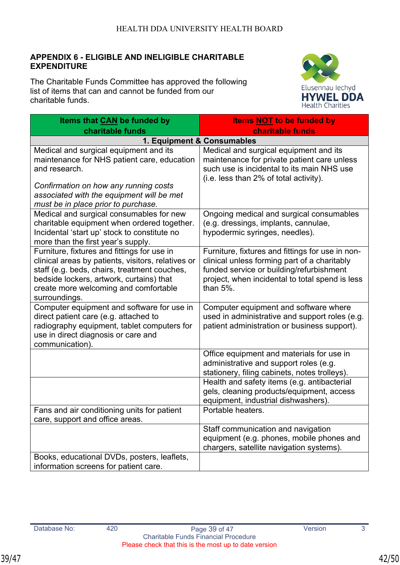## **APPENDIX 6 - ELIGIBLE AND INELIGIBLE CHARITABLE EXPENDITURE**

The Charitable Funds Committee has approved the following list of items that can and cannot be funded from our charitable funds.



| Items that CAN be funded by                                                                                                                                                                                                                             | <b>Items NOT to be funded by</b>                                                                                                                                                                                |  |
|---------------------------------------------------------------------------------------------------------------------------------------------------------------------------------------------------------------------------------------------------------|-----------------------------------------------------------------------------------------------------------------------------------------------------------------------------------------------------------------|--|
| charitable funds                                                                                                                                                                                                                                        | charitable funds                                                                                                                                                                                                |  |
| 1. Equipment & Consumables                                                                                                                                                                                                                              |                                                                                                                                                                                                                 |  |
| Medical and surgical equipment and its<br>maintenance for NHS patient care, education<br>and research.                                                                                                                                                  | Medical and surgical equipment and its<br>maintenance for private patient care unless<br>such use is incidental to its main NHS use<br>(i.e. less than 2% of total activity).                                   |  |
| Confirmation on how any running costs<br>associated with the equipment will be met<br>must be in place prior to purchase.                                                                                                                               |                                                                                                                                                                                                                 |  |
| Medical and surgical consumables for new<br>charitable equipment when ordered together.<br>Incidental 'start up' stock to constitute no<br>more than the first year's supply.                                                                           | Ongoing medical and surgical consumables<br>(e.g. dressings, implants, cannulae,<br>hypodermic syringes, needles).                                                                                              |  |
| Furniture, fixtures and fittings for use in<br>clinical areas by patients, visitors, relatives or<br>staff (e.g. beds, chairs, treatment couches,<br>bedside lockers, artwork, curtains) that<br>create more welcoming and comfortable<br>surroundings. | Furniture, fixtures and fittings for use in non-<br>clinical unless forming part of a charitably<br>funded service or building/refurbishment<br>project, when incidental to total spend is less<br>than $5\%$ . |  |
| Computer equipment and software for use in<br>direct patient care (e.g. attached to<br>radiography equipment, tablet computers for<br>use in direct diagnosis or care and<br>communication).                                                            | Computer equipment and software where<br>used in administrative and support roles (e.g.<br>patient administration or business support).                                                                         |  |
|                                                                                                                                                                                                                                                         | Office equipment and materials for use in<br>administrative and support roles (e.g.<br>stationery, filing cabinets, notes trolleys).                                                                            |  |
|                                                                                                                                                                                                                                                         | Health and safety items (e.g. antibacterial<br>gels, cleaning products/equipment, access<br>equipment, industrial dishwashers).                                                                                 |  |
| Fans and air conditioning units for patient<br>care, support and office areas.                                                                                                                                                                          | Portable heaters.                                                                                                                                                                                               |  |
|                                                                                                                                                                                                                                                         | Staff communication and navigation<br>equipment (e.g. phones, mobile phones and<br>chargers, satellite navigation systems).                                                                                     |  |
| Books, educational DVDs, posters, leaflets,<br>information screens for patient care.                                                                                                                                                                    |                                                                                                                                                                                                                 |  |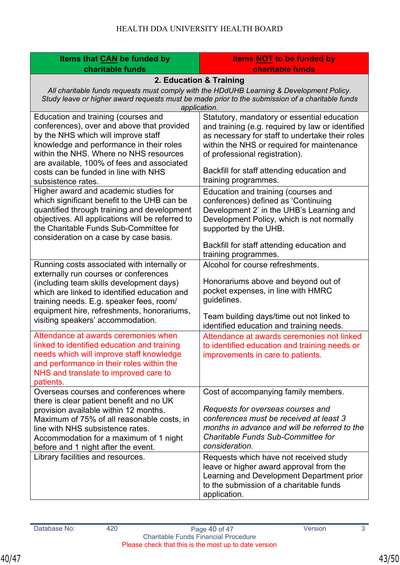| Items that CAN be funded by                                                                                     | <b>Items NOT to be funded by</b>                                                            |  |
|-----------------------------------------------------------------------------------------------------------------|---------------------------------------------------------------------------------------------|--|
| charitable funds                                                                                                | charitable funds                                                                            |  |
| 2. Education & Training                                                                                         |                                                                                             |  |
| All charitable funds requests must comply with the HDdUHB Learning & Development Policy.                        |                                                                                             |  |
| Study leave or higher award requests must be made prior to the submission of a charitable funds<br>application. |                                                                                             |  |
| Education and training (courses and                                                                             | Statutory, mandatory or essential education                                                 |  |
| conferences), over and above that provided                                                                      | and training (e.g. required by law or identified                                            |  |
| by the NHS which will improve staff                                                                             | as necessary for staff to undertake their roles                                             |  |
| knowledge and performance in their roles<br>within the NHS. Where no NHS resources                              | within the NHS or required for maintenance<br>of professional registration).                |  |
| are available, 100% of fees and associated                                                                      |                                                                                             |  |
| costs can be funded in line with NHS                                                                            | Backfill for staff attending education and                                                  |  |
| subsistence rates.                                                                                              | training programmes.                                                                        |  |
| Higher award and academic studies for                                                                           | Education and training (courses and                                                         |  |
| which significant benefit to the UHB can be<br>quantified through training and development                      | conferences) defined as 'Continuing<br>Development 2' in the UHB's Learning and             |  |
| objectives. All applications will be referred to                                                                | Development Policy, which is not normally                                                   |  |
| the Charitable Funds Sub-Committee for                                                                          | supported by the UHB.                                                                       |  |
| consideration on a case by case basis.                                                                          |                                                                                             |  |
|                                                                                                                 | Backfill for staff attending education and<br>training programmes.                          |  |
| Running costs associated with internally or                                                                     | Alcohol for course refreshments.                                                            |  |
| externally run courses or conferences                                                                           |                                                                                             |  |
| (including team skills development days)                                                                        | Honorariums above and beyond out of                                                         |  |
| which are linked to identified education and                                                                    | pocket expenses, in line with HMRC<br>guidelines.                                           |  |
| training needs. E.g. speaker fees, room/<br>equipment hire, refreshments, honorariums,                          |                                                                                             |  |
| visiting speakers' accommodation.                                                                               | Team building days/time out not linked to                                                   |  |
|                                                                                                                 | identified education and training needs.                                                    |  |
| Attendance at awards ceremonies when<br>linked to identified education and training                             | Attendance at awards ceremonies not linked<br>to identified education and training needs or |  |
| needs which will improve staff knowledge                                                                        | improvements in care to patients.                                                           |  |
| and performance in their roles within the                                                                       |                                                                                             |  |
| NHS and translate to improved care to                                                                           |                                                                                             |  |
| patients.                                                                                                       |                                                                                             |  |
| Overseas courses and conferences where<br>there is clear patient benefit and no UK                              | Cost of accompanying family members.                                                        |  |
| provision available within 12 months.                                                                           | Requests for overseas courses and                                                           |  |
| Maximum of 75% of all reasonable costs, in                                                                      | conferences must be received at least 3                                                     |  |
| line with NHS subsistence rates.                                                                                | months in advance and will be referred to the                                               |  |
| Accommodation for a maximum of 1 night<br>before and 1 night after the event.                                   | <b>Charitable Funds Sub-Committee for</b><br>consideration.                                 |  |
| Library facilities and resources.                                                                               | Requests which have not received study                                                      |  |
|                                                                                                                 | leave or higher award approval from the                                                     |  |
|                                                                                                                 | Learning and Development Department prior                                                   |  |
|                                                                                                                 | to the submission of a charitable funds                                                     |  |
|                                                                                                                 | application.                                                                                |  |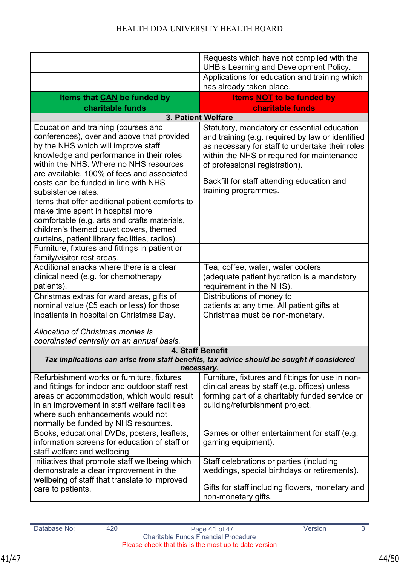|                                                                                                                                                                                                                                                                                                                                                                               | Requests which have not complied with the<br>UHB's Learning and Development Policy.                                                                                                                                                                                                                      |  |
|-------------------------------------------------------------------------------------------------------------------------------------------------------------------------------------------------------------------------------------------------------------------------------------------------------------------------------------------------------------------------------|----------------------------------------------------------------------------------------------------------------------------------------------------------------------------------------------------------------------------------------------------------------------------------------------------------|--|
|                                                                                                                                                                                                                                                                                                                                                                               | Applications for education and training which<br>has already taken place.                                                                                                                                                                                                                                |  |
| Items that CAN be funded by                                                                                                                                                                                                                                                                                                                                                   | <b>Items NOT to be funded by</b><br><b>charitable funds</b>                                                                                                                                                                                                                                              |  |
| charitable funds<br>3. Patient Welfare                                                                                                                                                                                                                                                                                                                                        |                                                                                                                                                                                                                                                                                                          |  |
| Education and training (courses and<br>conferences), over and above that provided<br>by the NHS which will improve staff<br>knowledge and performance in their roles<br>within the NHS. Where no NHS resources<br>are available, 100% of fees and associated<br>costs can be funded in line with NHS<br>subsistence rates.<br>Items that offer additional patient comforts to | Statutory, mandatory or essential education<br>and training (e.g. required by law or identified<br>as necessary for staff to undertake their roles<br>within the NHS or required for maintenance<br>of professional registration).<br>Backfill for staff attending education and<br>training programmes. |  |
| make time spent in hospital more<br>comfortable (e.g. arts and crafts materials,<br>children's themed duvet covers, themed<br>curtains, patient library facilities, radios).                                                                                                                                                                                                  |                                                                                                                                                                                                                                                                                                          |  |
| Furniture, fixtures and fittings in patient or<br>family/visitor rest areas.                                                                                                                                                                                                                                                                                                  |                                                                                                                                                                                                                                                                                                          |  |
| Additional snacks where there is a clear<br>clinical need (e.g. for chemotherapy<br>patients).                                                                                                                                                                                                                                                                                | Tea, coffee, water, water coolers<br>(adequate patient hydration is a mandatory<br>requirement in the NHS).                                                                                                                                                                                              |  |
| Christmas extras for ward areas, gifts of<br>nominal value (£5 each or less) for those<br>inpatients in hospital on Christmas Day.                                                                                                                                                                                                                                            | Distributions of money to<br>patients at any time. All patient gifts at<br>Christmas must be non-monetary.                                                                                                                                                                                               |  |
| Allocation of Christmas monies is<br>coordinated centrally on an annual basis.                                                                                                                                                                                                                                                                                                |                                                                                                                                                                                                                                                                                                          |  |
| 4. Staff Benefit                                                                                                                                                                                                                                                                                                                                                              |                                                                                                                                                                                                                                                                                                          |  |
| Tax implications can arise from staff benefits, tax advice should be sought if considered<br>necessary.                                                                                                                                                                                                                                                                       |                                                                                                                                                                                                                                                                                                          |  |
| Refurbishment works or furniture, fixtures<br>and fittings for indoor and outdoor staff rest<br>areas or accommodation, which would result<br>in an improvement in staff welfare facilities<br>where such enhancements would not<br>normally be funded by NHS resources.                                                                                                      | Furniture, fixtures and fittings for use in non-<br>clinical areas by staff (e.g. offices) unless<br>forming part of a charitably funded service or<br>building/refurbishment project.                                                                                                                   |  |
| Books, educational DVDs, posters, leaflets,<br>information screens for education of staff or<br>staff welfare and wellbeing.                                                                                                                                                                                                                                                  | Games or other entertainment for staff (e.g.<br>gaming equipment).                                                                                                                                                                                                                                       |  |
| Initiatives that promote staff wellbeing which<br>demonstrate a clear improvement in the<br>wellbeing of staff that translate to improved<br>care to patients.                                                                                                                                                                                                                | Staff celebrations or parties (including<br>weddings, special birthdays or retirements).<br>Gifts for staff including flowers, monetary and<br>non-monetary gifts.                                                                                                                                       |  |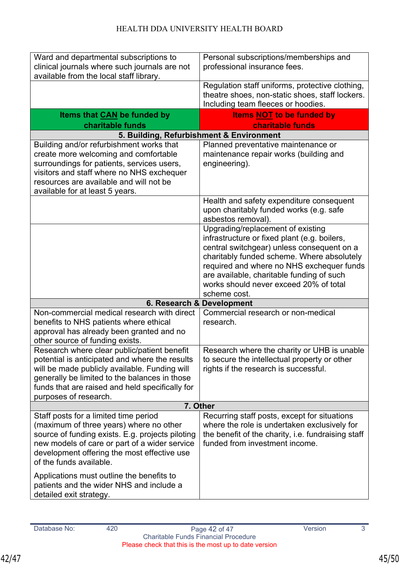| Regulation staff uniforms, protective clothing,<br>theatre shoes, non-static shoes, staff lockers.<br>Including team fleeces or hoodies.<br><b>Items NOT to be funded by</b><br><b>charitable funds</b><br>5. Building, Refurbishment & Environment<br>Planned preventative maintenance or                        |  |
|-------------------------------------------------------------------------------------------------------------------------------------------------------------------------------------------------------------------------------------------------------------------------------------------------------------------|--|
|                                                                                                                                                                                                                                                                                                                   |  |
|                                                                                                                                                                                                                                                                                                                   |  |
|                                                                                                                                                                                                                                                                                                                   |  |
| maintenance repair works (building and                                                                                                                                                                                                                                                                            |  |
| Health and safety expenditure consequent<br>upon charitably funded works (e.g. safe                                                                                                                                                                                                                               |  |
| Upgrading/replacement of existing<br>infrastructure or fixed plant (e.g. boilers,<br>central switchgear) unless consequent on a<br>charitably funded scheme. Where absolutely<br>required and where no NHS exchequer funds<br>are available, charitable funding of such<br>works should never exceed 20% of total |  |
| scheme cost.<br>6. Research & Development                                                                                                                                                                                                                                                                         |  |
| Commercial research or non-medical                                                                                                                                                                                                                                                                                |  |
| Research where the charity or UHB is unable<br>to secure the intellectual property or other<br>rights if the research is successful.                                                                                                                                                                              |  |
| 7. Other                                                                                                                                                                                                                                                                                                          |  |
| Recurring staff posts, except for situations<br>where the role is undertaken exclusively for<br>the benefit of the charity, i.e. fundraising staff                                                                                                                                                                |  |
|                                                                                                                                                                                                                                                                                                                   |  |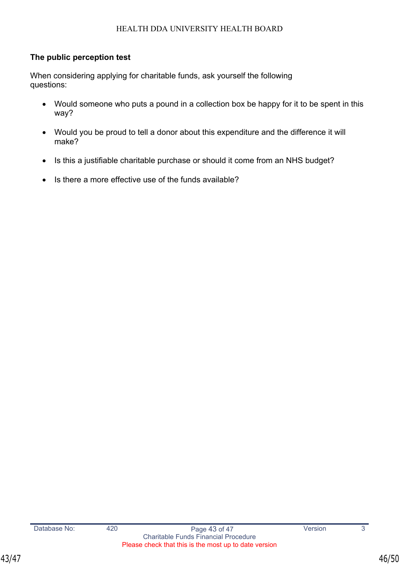## <span id="page-45-0"></span>**The public perception test**

When considering applying for charitable funds, ask yourself the following questions:

- Would someone who puts a pound in a collection box be happy for it to be spent in this way?
- Would you be proud to tell a donor about this expenditure and the difference it will make?
- Is this a justifiable charitable purchase or should it come from an NHS budget?
- Is there a more effective use of the funds available?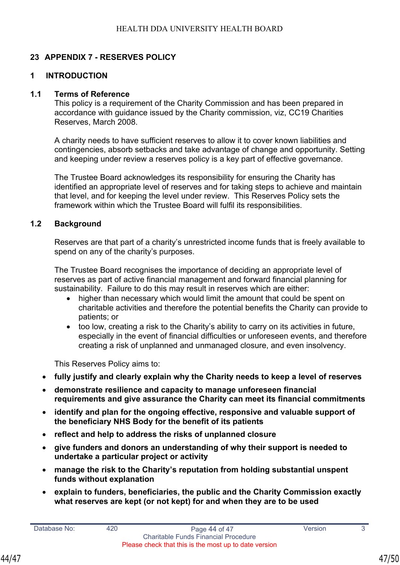## **23 APPENDIX 7 - RESERVES POLICY**

#### **1 INTRODUCTION**

#### **1.1 Terms of Reference**

This policy is a requirement of the Charity Commission and has been prepared in accordance with guidance issued by the Charity commission, viz, CC19 Charities Reserves, March 2008.

A charity needs to have sufficient reserves to allow it to cover known liabilities and contingencies, absorb setbacks and take advantage of change and opportunity. Setting and keeping under review a reserves policy is a key part of effective governance.

The Trustee Board acknowledges its responsibility for ensuring the Charity has identified an appropriate level of reserves and for taking steps to achieve and maintain that level, and for keeping the level under review. This Reserves Policy sets the framework within which the Trustee Board will fulfil its responsibilities.

#### **1.2 Background**

Reserves are that part of a charity's unrestricted income funds that is freely available to spend on any of the charity's purposes.

The Trustee Board recognises the importance of deciding an appropriate level of reserves as part of active financial management and forward financial planning for sustainability. Failure to do this may result in reserves which are either:

- higher than necessary which would limit the amount that could be spent on charitable activities and therefore the potential benefits the Charity can provide to patients; or
- too low, creating a risk to the Charity's ability to carry on its activities in future, especially in the event of financial difficulties or unforeseen events, and therefore creating a risk of unplanned and unmanaged closure, and even insolvency.

This Reserves Policy aims to:

- **fully justify and clearly explain why the Charity needs to keep a level of reserves**
- **demonstrate resilience and capacity to manage unforeseen financial requirements and give assurance the Charity can meet its financial commitments**
- **identify and plan for the ongoing effective, responsive and valuable support of the beneficiary NHS Body for the benefit of its patients**
- **reflect and help to address the risks of unplanned closure**
- **give funders and donors an understanding of why their support is needed to undertake a particular project or activity**
- **manage the risk to the Charity's reputation from holding substantial unspent funds without explanation**
- **explain to funders, beneficiaries, the public and the Charity Commission exactly what reserves are kept (or not kept) for and when they are to be used**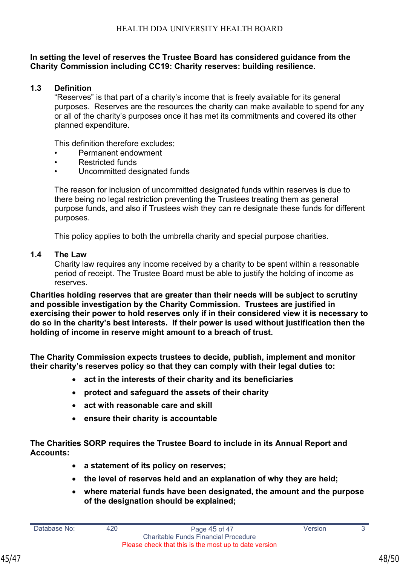#### **In setting the level of reserves the Trustee Board has considered guidance from the Charity Commission including CC19: Charity reserves: building resilience.**

#### **1.3 Definition**

"Reserves" is that part of a charity's income that is freely available for its general purposes. Reserves are the resources the charity can make available to spend for any or all of the charity's purposes once it has met its commitments and covered its other planned expenditure.

This definition therefore excludes;

- Permanent endowment
- Restricted funds
- Uncommitted designated funds

The reason for inclusion of uncommitted designated funds within reserves is due to there being no legal restriction preventing the Trustees treating them as general purpose funds, and also if Trustees wish they can re designate these funds for different purposes.

This policy applies to both the umbrella charity and special purpose charities.

#### **1.4 The Law**

Charity law requires any income received by a charity to be spent within a reasonable period of receipt. The Trustee Board must be able to justify the holding of income as reserves.

**Charities holding reserves that are greater than their needs will be subject to scrutiny and possible investigation by the Charity Commission. Trustees are justified in exercising their power to hold reserves only if in their considered view it is necessary to do so in the charity's best interests. If their power is used without justification then the holding of income in reserve might amount to a breach of trust.** 

**The Charity Commission expects trustees to decide, publish, implement and monitor their charity's reserves policy so that they can comply with their legal duties to:**

- **act in the interests of their charity and its beneficiaries**
- **protect and safeguard the assets of their charity**
- **act with reasonable care and skill**
- **ensure their charity is accountable**

**The Charities SORP requires the Trustee Board to include in its Annual Report and Accounts:** 

- **a statement of its policy on reserves;**
- **the level of reserves held and an explanation of why they are held;**
- **where material funds have been designated, the amount and the purpose of the designation should be explained;**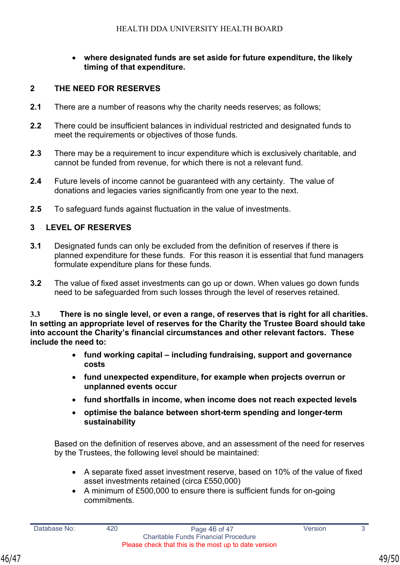#### • **where designated funds are set aside for future expenditure, the likely timing of that expenditure.**

#### **2 THE NEED FOR RESERVES**

- **2.1** There are a number of reasons why the charity needs reserves; as follows;
- **2.2** There could be insufficient balances in individual restricted and designated funds to meet the requirements or objectives of those funds.
- **2.3** There may be a requirement to incur expenditure which is exclusively charitable, and cannot be funded from revenue, for which there is not a relevant fund.
- **2.4** Future levels of income cannot be guaranteed with any certainty. The value of donations and legacies varies significantly from one year to the next.
- **2.5** To safeguard funds against fluctuation in the value of investments.

#### **3 LEVEL OF RESERVES**

- **3.1** Designated funds can only be excluded from the definition of reserves if there is planned expenditure for these funds. For this reason it is essential that fund managers formulate expenditure plans for these funds.
- **3.2** The value of fixed asset investments can go up or down. When values go down funds need to be safeguarded from such losses through the level of reserves retained.

**3.3 There is no single level, or even a range, of reserves that is right for all charities. In setting an appropriate level of reserves for the Charity the Trustee Board should take into account the Charity's financial circumstances and other relevant factors. These include the need to:** 

- **fund working capital including fundraising, support and governance costs**
- **fund unexpected expenditure, for example when projects overrun or unplanned events occur**
- **fund shortfalls in income, when income does not reach expected levels**
- **optimise the balance between short-term spending and longer-term sustainability**

Based on the definition of reserves above, and an assessment of the need for reserves by the Trustees, the following level should be maintained:

- A separate fixed asset investment reserve, based on 10% of the value of fixed asset investments retained (circa £550,000)
- A minimum of £500,000 to ensure there is sufficient funds for on-going commitments.